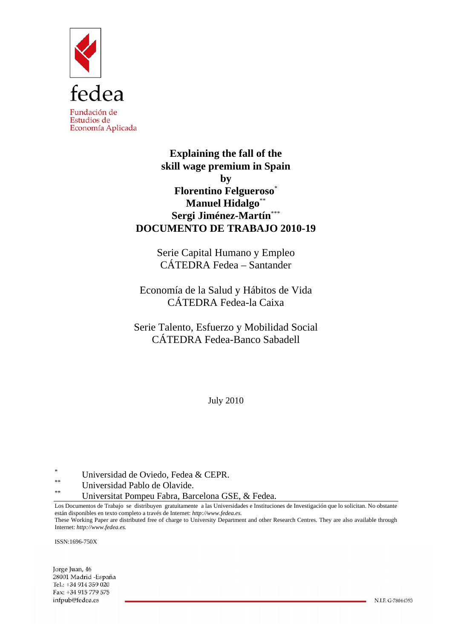

**Explaining the fall of the skill wage premium in Spain by Florentino Felgueroso**\* **Manuel Hidalgo**\*\* **Sergi Jiménez-Martín**\*\*\* **DOCUMENTO DE TRABAJO 2010-19** 

> Serie Capital Humano y Empleo CÁTEDRA Fedea – Santander

Economía de la Salud y Hábitos de Vida CÁTEDRA Fedea-la Caixa

Serie Talento, Esfuerzo y Mobilidad Social CÁTEDRA Fedea-Banco Sabadell

July 2010

 $\sum_{**}$  Universidad de Oviedo, Fedea & CEPR.

\*\* Universidad Pablo de Olavide.

Universitat Pompeu Fabra, Barcelona GSE, & Fedea.

Los Documentos de Trabajo se distribuyen gratuitamente a las Universidades e Instituciones de Investigación que lo solicitan. No obstante están disponibles en texto completo a través de Internet: *http://www.fedea.es.* 

These Working Paper are distributed free of charge to University Department and other Research Centres. They are also available through Internet: *http://www.fedea.es.*

ISSN:1696-750X

Jorge Juan, 46 28001 Madrid - España Tel.: +34 914 359 020 Fax: +34 915 779 575 infpub@fedea.es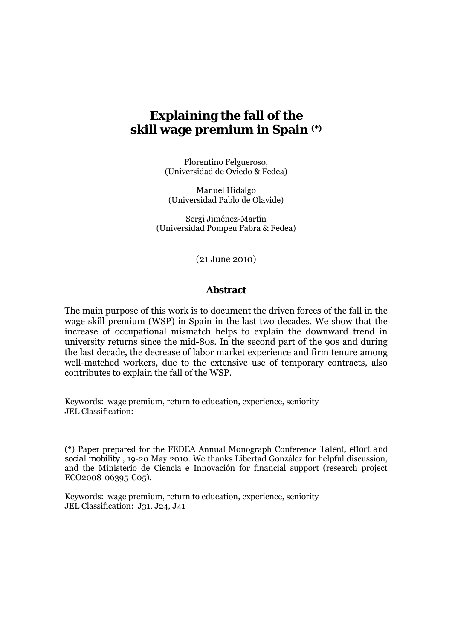# **Explaining the fall of the skill wage premium in Spain (\*)**

Florentino Felgueroso, (Universidad de Oviedo & Fedea)

Manuel Hidalgo (Universidad Pablo de Olavide)

Sergi Jiménez-Martín (Universidad Pompeu Fabra & Fedea)

(21 June 2010)

### **Abstract**

The main purpose of this work is to document the driven forces of the fall in the wage skill premium (WSP) in Spain in the last two decades. We show that the increase of occupational mismatch helps to explain the downward trend in university returns since the mid-80s. In the second part of the 90s and during the last decade, the decrease of labor market experience and firm tenure among well-matched workers, due to the extensive use of temporary contracts, also contributes to explain the fall of the WSP.

Keywords: wage premium, return to education, experience, seniority JEL Classification:

(\*) Paper prepared for the FEDEA Annual Monograph Conference *Talent, effort and social mobility* , 19-20 May 2010. We thanks Libertad González for helpful discussion, and the Ministerio de Ciencia e Innovación for financial support (research project ECO2008-06395-C05).

Keywords: wage premium, return to education, experience, seniority JEL Classification: J31, J24, J41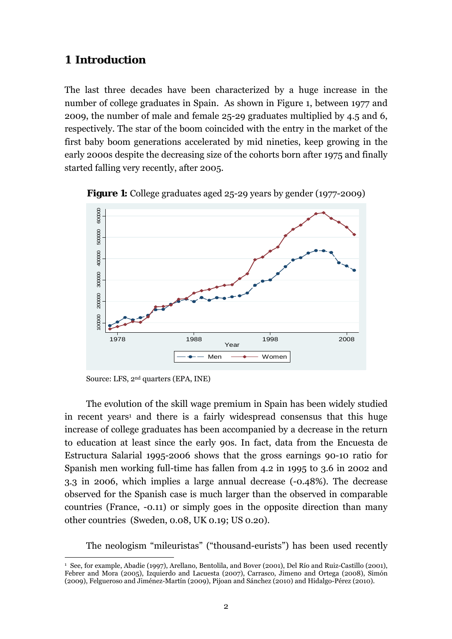# **1 Introduction**

The last three decades have been characterized by a huge increase in the number of college graduates in Spain. As shown in Figure 1, between 1977 and 2009, the number of male and female 25-29 graduates multiplied by 4.5 and 6, respectively. The star of the boom coincided with the entry in the market of the first baby boom generations accelerated by mid nineties, keep growing in the early 2000s despite the decreasing size of the cohorts born after 1975 and finally started falling very recently, after 2005.





Source: LFS, 2nd quarters (EPA, INE)

 $\overline{a}$ 

The evolution of the skill wage premium in Spain has been widely studied in recent years<sup>1</sup> and there is a fairly widespread consensus that this huge increase of college graduates has been accompanied by a decrease in the return to education at least since the early 90s. In fact, data from the Encuesta de Estructura Salarial 1995-2006 shows that the gross earnings 90-10 ratio for Spanish men working full-time has fallen from 4.2 in 1995 to 3.6 in 2002 and 3.3 in 2006, which implies a large annual decrease (-0.48%). The decrease observed for the Spanish case is much larger than the observed in comparable countries (France, -0.11) or simply goes in the opposite direction than many other countries (Sweden, 0.08, UK 0.19; US 0.20).

The neologism "mileuristas" ("thousand-eurists") has been used recently

<sup>1</sup> See, for example, Abadie (1997), Arellano, Bentolila, and Bover (2001), Del Río and Ruiz-Castillo (2001), Febrer and Mora (2005), Izquierdo and Lacuesta (2007), Carrasco, Jimeno and Ortega (2008), Simón (2009), Felgueroso and Jiménez-Martín (2009), Pijoan and Sánchez (2010) and Hidalgo-Pérez (2010).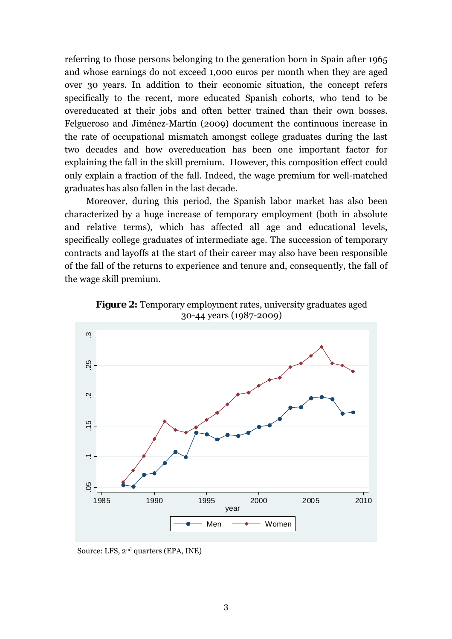referring to those persons belonging to the generation born in Spain after 1965 and whose earnings do not exceed 1,000 euros per month when they are aged over 30 years. In addition to their economic situation, the concept refers specifically to the recent, more educated Spanish cohorts, who tend to be overeducated at their jobs and often better trained than their own bosses. Felgueroso and Jiménez-Martín (2009) document the continuous increase in the rate of occupational mismatch amongst college graduates during the last two decades and how overeducation has been one important factor for explaining the fall in the skill premium. However, this composition effect could only explain a fraction of the fall. Indeed, the wage premium for well-matched graduates has also fallen in the last decade.

Moreover, during this period, the Spanish labor market has also been characterized by a huge increase of temporary employment (both in absolute and relative terms), which has affected all age and educational levels, specifically college graduates of intermediate age. The succession of temporary contracts and layoffs at the start of their career may also have been responsible of the fall of the returns to experience and tenure and, consequently, the fall of the wage skill premium.



**Figure 2:** Temporary employment rates, university graduates aged 30-44 years (1987-2009)

Source: LFS, 2nd quarters (EPA, INE)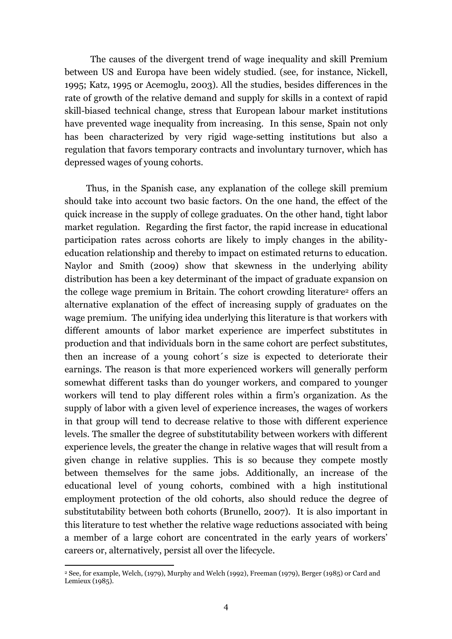The causes of the divergent trend of wage inequality and skill Premium between US and Europa have been widely studied. (see, for instance, Nickell, 1995; Katz, 1995 or Acemoglu, 2003). All the studies, besides differences in the rate of growth of the relative demand and supply for skills in a context of rapid skill-biased technical change, stress that European labour market institutions have prevented wage inequality from increasing. In this sense, Spain not only has been characterized by very rigid wage-setting institutions but also a regulation that favors temporary contracts and involuntary turnover, which has depressed wages of young cohorts.

Thus, in the Spanish case, any explanation of the college skill premium should take into account two basic factors. On the one hand, the effect of the quick increase in the supply of college graduates. On the other hand, tight labor market regulation. Regarding the first factor, the rapid increase in educational participation rates across cohorts are likely to imply changes in the abilityeducation relationship and thereby to impact on estimated returns to education. Naylor and Smith (2009) show that skewness in the underlying ability distribution has been a key determinant of the impact of graduate expansion on the college wage premium in Britain. The cohort crowding literature<sup>2</sup> offers an alternative explanation of the effect of increasing supply of graduates on the wage premium. The unifying idea underlying this literature is that workers with different amounts of labor market experience are imperfect substitutes in production and that individuals born in the same cohort are perfect substitutes, then an increase of a young cohort´s size is expected to deteriorate their earnings. The reason is that more experienced workers will generally perform somewhat different tasks than do younger workers, and compared to younger workers will tend to play different roles within a firm's organization. As the supply of labor with a given level of experience increases, the wages of workers in that group will tend to decrease relative to those with different experience levels. The smaller the degree of substitutability between workers with different experience levels, the greater the change in relative wages that will result from a given change in relative supplies. This is so because they compete mostly between themselves for the same jobs. Additionally, an increase of the educational level of young cohorts, combined with a high institutional employment protection of the old cohorts, also should reduce the degree of substitutability between both cohorts (Brunello, 2007). It is also important in this literature to test whether the relative wage reductions associated with being a member of a large cohort are concentrated in the early years of workers' careers or, alternatively, persist all over the lifecycle.

 $\overline{a}$ 

<sup>2</sup> See, for example, Welch, (1979), Murphy and Welch (1992), Freeman (1979), Berger (1985) or Card and Lemieux (1985).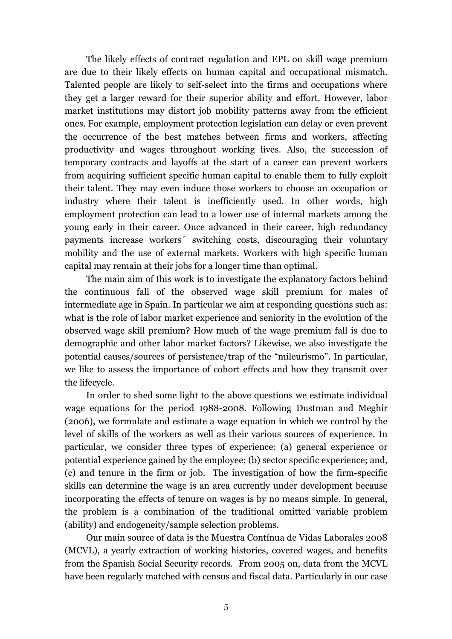The likely effects of contract regulation and EPL on skill wage premium are due to their likely effects on human capital and occupational mismatch. Talented people are likely to self-select into the firms and occupations where they get a larger reward for their superior ability and effort. However, labor market institutions may distort job mobility patterns away from the efficient ones. For example, employment protection legislation can delay or even prevent the occurrence of the best matches between firms and workers, affecting productivity and wages throughout working lives. Also, the succession of temporary contracts and layoffs at the start of a career can prevent workers from acquiring sufficient specific human capital to enable them to fully exploit their talent. They may even induce those workers to choose an occupation or industry where their talent is inefficiently used. In other words, high employment protection can lead to a lower use of internal markets among the young early in their career. Once advanced in their career, high redundancy payments increase workers´ switching costs, discouraging their voluntary mobility and the use of external markets. Workers with high specific human capital may remain at their jobs for a longer time than optimal.

The main aim of this work is to investigate the explanatory factors behind the continuous fall of the observed wage skill premium for males of intermediate age in Spain. In particular we aim at responding questions such as: what is the role of labor market experience and seniority in the evolution of the observed wage skill premium? How much of the wage premium fall is due to demographic and other labor market factors? Likewise, we also investigate the potential causes/sources of persistence/trap of the "mileurismo". In particular, we like to assess the importance of cohort effects and how they transmit over the lifecycle.

In order to shed some light to the above questions we estimate individual wage equations for the period 1988-2008. Following Dustman and Meghir (2006), we formulate and estimate a wage equation in which we control by the level of skills of the workers as well as their various sources of experience. In particular, we consider three types of experience: (a) general experience or potential experience gained by the employee; (b) sector specific experience; and, (c) and tenure in the firm or job. The investigation of how the firm-specific skills can determine the wage is an area currently under development because incorporating the effects of tenure on wages is by no means simple. In general, the problem is a combination of the traditional omitted variable problem (ability) and endogeneity/sample selection problems.

Our main source of data is the Muestra Contínua de Vidas Laborales 2008 (MCVL), a yearly extraction of working histories, covered wages, and benefits from the Spanish Social Security records. From 2005 on, data from the MCVL have been regularly matched with census and fiscal data. Particularly in our case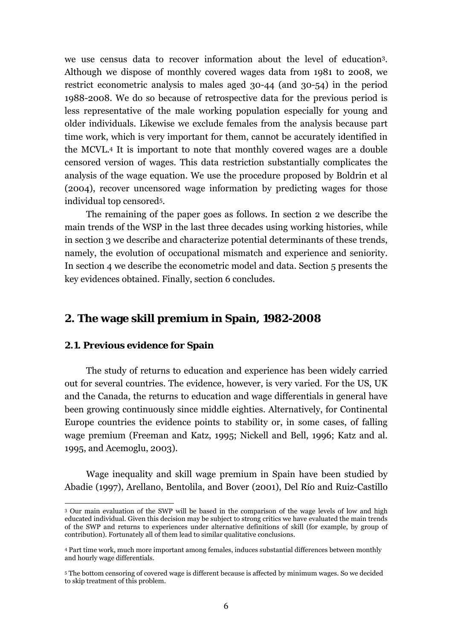we use census data to recover information about the level of education3. Although we dispose of monthly covered wages data from 1981 to 2008, we restrict econometric analysis to males aged 30-44 (and 30-54) in the period 1988-2008. We do so because of retrospective data for the previous period is less representative of the male working population especially for young and older individuals. Likewise we exclude females from the analysis because part time work, which is very important for them, cannot be accurately identified in the MCVL.4 It is important to note that monthly covered wages are a double censored version of wages. This data restriction substantially complicates the analysis of the wage equation. We use the procedure proposed by Boldrin et al (2004), recover uncensored wage information by predicting wages for those individual top censored5.

The remaining of the paper goes as follows. In section 2 we describe the main trends of the WSP in the last three decades using working histories, while in section 3 we describe and characterize potential determinants of these trends, namely, the evolution of occupational mismatch and experience and seniority. In section 4 we describe the econometric model and data. Section 5 presents the key evidences obtained. Finally, section 6 concludes.

# **2. The wage skill premium in Spain, 1982-2008**

### **2.1. Previous evidence for Spain**

 $\overline{a}$ 

The study of returns to education and experience has been widely carried out for several countries. The evidence, however, is very varied. For the US, UK and the Canada, the returns to education and wage differentials in general have been growing continuously since middle eighties. Alternatively, for Continental Europe countries the evidence points to stability or, in some cases, of falling wage premium (Freeman and Katz, 1995; Nickell and Bell, 1996; Katz and al. 1995, and Acemoglu, 2003).

Wage inequality and skill wage premium in Spain have been studied by Abadie (1997), Arellano, Bentolila, and Bover (2001), Del Río and Ruiz-Castillo

<sup>3</sup> Our main evaluation of the SWP will be based in the comparison of the wage levels of low and high educated individual. Given this decision may be subject to strong critics we have evaluated the main trends of the SWP and returns to experiences under alternative definitions of skill (for example, by group of contribution). Fortunately all of them lead to similar qualitative conclusions.

<sup>4</sup> Part time work, much more important among females, induces substantial differences between monthly and hourly wage differentials.

<sup>5</sup> The bottom censoring of covered wage is different because is affected by minimum wages. So we decided to skip treatment of this problem.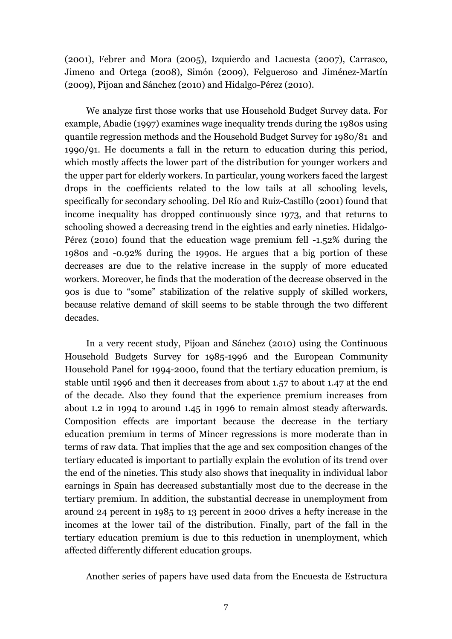(2001), Febrer and Mora (2005), Izquierdo and Lacuesta (2007), Carrasco, Jimeno and Ortega (2008), Simón (2009), Felgueroso and Jiménez-Martín (2009), Pijoan and Sánchez (2010) and Hidalgo-Pérez (2010).

We analyze first those works that use Household Budget Survey data. For example, Abadie (1997) examines wage inequality trends during the 1980s using quantile regression methods and the Household Budget Survey for 1980/81 and 1990/91. He documents a fall in the return to education during this period, which mostly affects the lower part of the distribution for younger workers and the upper part for elderly workers. In particular, young workers faced the largest drops in the coefficients related to the low tails at all schooling levels, specifically for secondary schooling. Del Río and Ruiz-Castillo (2001) found that income inequality has dropped continuously since 1973, and that returns to schooling showed a decreasing trend in the eighties and early nineties. Hidalgo-Pérez (2010) found that the education wage premium fell -1.52% during the 1980s and -0.92% during the 1990s. He argues that a big portion of these decreases are due to the relative increase in the supply of more educated workers. Moreover, he finds that the moderation of the decrease observed in the 90s is due to "some" stabilization of the relative supply of skilled workers, because relative demand of skill seems to be stable through the two different decades.

In a very recent study, Pijoan and Sánchez (2010) using the Continuous Household Budgets Survey for 1985-1996 and the European Community Household Panel for 1994-2000, found that the tertiary education premium, is stable until 1996 and then it decreases from about 1.57 to about 1.47 at the end of the decade. Also they found that the experience premium increases from about 1.2 in 1994 to around 1.45 in 1996 to remain almost steady afterwards. Composition effects are important because the decrease in the tertiary education premium in terms of Mincer regressions is more moderate than in terms of raw data. That implies that the age and sex composition changes of the tertiary educated is important to partially explain the evolution of its trend over the end of the nineties. This study also shows that inequality in individual labor earnings in Spain has decreased substantially most due to the decrease in the tertiary premium. In addition, the substantial decrease in unemployment from around 24 percent in 1985 to 13 percent in 2000 drives a hefty increase in the incomes at the lower tail of the distribution. Finally, part of the fall in the tertiary education premium is due to this reduction in unemployment, which affected differently different education groups.

Another series of papers have used data from the Encuesta de Estructura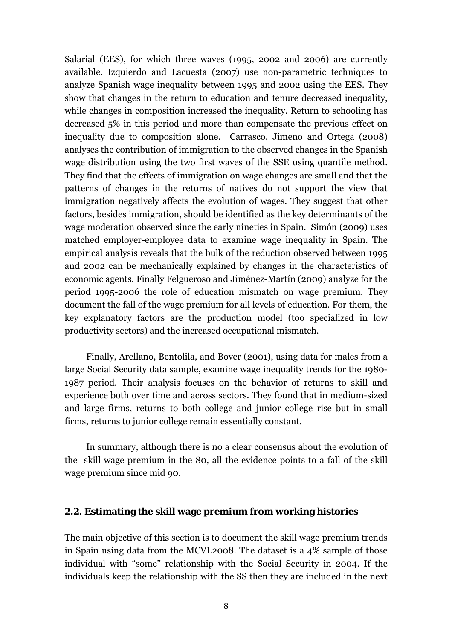Salarial (EES), for which three waves (1995, 2002 and 2006) are currently available. Izquierdo and Lacuesta (2007) use non-parametric techniques to analyze Spanish wage inequality between 1995 and 2002 using the EES. They show that changes in the return to education and tenure decreased inequality, while changes in composition increased the inequality. Return to schooling has decreased 5% in this period and more than compensate the previous effect on inequality due to composition alone. Carrasco, Jimeno and Ortega (2008) analyses the contribution of immigration to the observed changes in the Spanish wage distribution using the two first waves of the SSE using quantile method. They find that the effects of immigration on wage changes are small and that the patterns of changes in the returns of natives do not support the view that immigration negatively affects the evolution of wages. They suggest that other factors, besides immigration, should be identified as the key determinants of the wage moderation observed since the early nineties in Spain. Simón (2009) uses matched employer-employee data to examine wage inequality in Spain. The empirical analysis reveals that the bulk of the reduction observed between 1995 and 2002 can be mechanically explained by changes in the characteristics of economic agents. Finally Felgueroso and Jiménez-Martín (2009) analyze for the period 1995-2006 the role of education mismatch on wage premium. They document the fall of the wage premium for all levels of education. For them, the key explanatory factors are the production model (too specialized in low productivity sectors) and the increased occupational mismatch.

Finally, Arellano, Bentolila, and Bover (2001), using data for males from a large Social Security data sample, examine wage inequality trends for the 1980- 1987 period. Their analysis focuses on the behavior of returns to skill and experience both over time and across sectors. They found that in medium-sized and large firms, returns to both college and junior college rise but in small firms, returns to junior college remain essentially constant.

In summary, although there is no a clear consensus about the evolution of the skill wage premium in the 80, all the evidence points to a fall of the skill wage premium since mid 90.

## **2.2. Estimating the skill wage premium from working histories**

The main objective of this section is to document the skill wage premium trends in Spain using data from the MCVL2008. The dataset is a 4% sample of those individual with "some" relationship with the Social Security in 2004. If the individuals keep the relationship with the SS then they are included in the next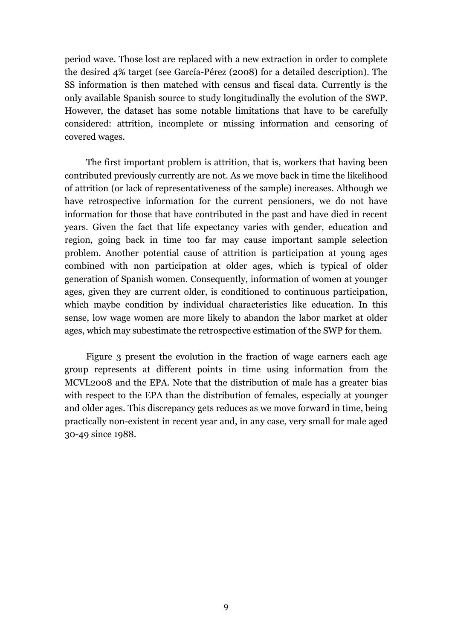period wave. Those lost are replaced with a new extraction in order to complete the desired 4% target (see García-Pérez (2008) for a detailed description). The SS information is then matched with census and fiscal data. Currently is the only available Spanish source to study longitudinally the evolution of the SWP. However, the dataset has some notable limitations that have to be carefully considered: attrition, incomplete or missing information and censoring of covered wages.

The first important problem is attrition, that is, workers that having been contributed previously currently are not. As we move back in time the likelihood of attrition (or lack of representativeness of the sample) increases. Although we have retrospective information for the current pensioners, we do not have information for those that have contributed in the past and have died in recent years. Given the fact that life expectancy varies with gender, education and region, going back in time too far may cause important sample selection problem. Another potential cause of attrition is participation at young ages combined with non participation at older ages, which is typical of older generation of Spanish women. Consequently, information of women at younger ages, given they are current older, is conditioned to continuous participation, which maybe condition by individual characteristics like education. In this sense, low wage women are more likely to abandon the labor market at older ages, which may subestimate the retrospective estimation of the SWP for them.

Figure 3 present the evolution in the fraction of wage earners each age group represents at different points in time using information from the MCVL2008 and the EPA. Note that the distribution of male has a greater bias with respect to the EPA than the distribution of females, especially at younger and older ages. This discrepancy gets reduces as we move forward in time, being practically non-existent in recent year and, in any case, very small for male aged 30-49 since 1988.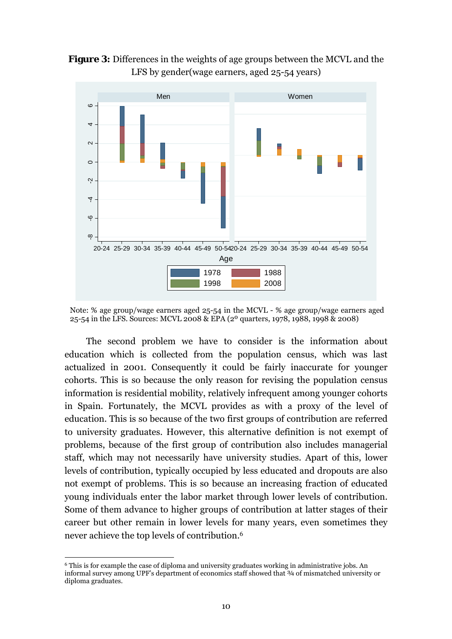**Figure 3:** Differences in the weights of age groups between the MCVL and the LFS by gender(wage earners, aged 25-54 years)



Note: % age group/wage earners aged 25-54 in the MCVL - % age group/wage earners aged 25-54 in the LFS. Sources: MCVL 2008 & EPA (2º quarters, 1978, 1988, 1998 & 2008)

The second problem we have to consider is the information about education which is collected from the population census, which was last actualized in 2001. Consequently it could be fairly inaccurate for younger cohorts. This is so because the only reason for revising the population census information is residential mobility, relatively infrequent among younger cohorts in Spain. Fortunately, the MCVL provides as with a proxy of the level of education. This is so because of the two first groups of contribution are referred to university graduates. However, this alternative definition is not exempt of problems, because of the first group of contribution also includes managerial staff, which may not necessarily have university studies. Apart of this, lower levels of contribution, typically occupied by less educated and dropouts are also not exempt of problems. This is so because an increasing fraction of educated young individuals enter the labor market through lower levels of contribution. Some of them advance to higher groups of contribution at latter stages of their career but other remain in lower levels for many years, even sometimes they never achieve the top levels of contribution.6

 $\overline{a}$ 6 This is for example the case of diploma and university graduates working in administrative jobs. An informal survey among UPF's department of economics staff showed that  $\frac{3}{4}$  of mismatched university or diploma graduates.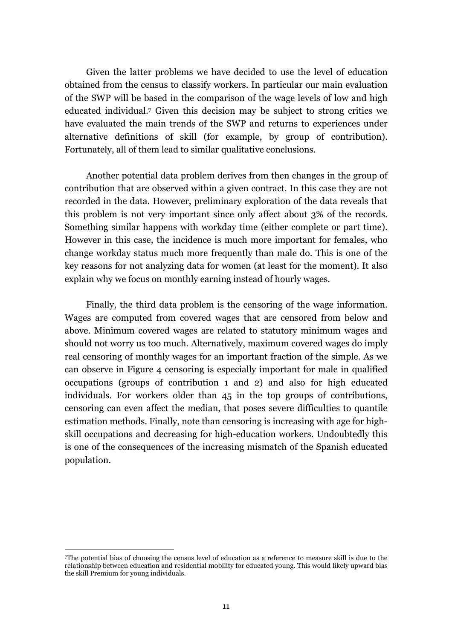Given the latter problems we have decided to use the level of education obtained from the census to classify workers. In particular our main evaluation of the SWP will be based in the comparison of the wage levels of low and high educated individual.7 Given this decision may be subject to strong critics we have evaluated the main trends of the SWP and returns to experiences under alternative definitions of skill (for example, by group of contribution). Fortunately, all of them lead to similar qualitative conclusions.

Another potential data problem derives from then changes in the group of contribution that are observed within a given contract. In this case they are not recorded in the data. However, preliminary exploration of the data reveals that this problem is not very important since only affect about 3% of the records. Something similar happens with workday time (either complete or part time). However in this case, the incidence is much more important for females, who change workday status much more frequently than male do. This is one of the key reasons for not analyzing data for women (at least for the moment). It also explain why we focus on monthly earning instead of hourly wages.

Finally, the third data problem is the censoring of the wage information. Wages are computed from covered wages that are censored from below and above. Minimum covered wages are related to statutory minimum wages and should not worry us too much. Alternatively, maximum covered wages do imply real censoring of monthly wages for an important fraction of the simple. As we can observe in Figure 4 censoring is especially important for male in qualified occupations (groups of contribution 1 and 2) and also for high educated individuals. For workers older than 45 in the top groups of contributions, censoring can even affect the median, that poses severe difficulties to quantile estimation methods. Finally, note than censoring is increasing with age for highskill occupations and decreasing for high-education workers. Undoubtedly this is one of the consequences of the increasing mismatch of the Spanish educated population.

 $\overline{a}$ 

<sup>7</sup>The potential bias of choosing the census level of education as a reference to measure skill is due to the relationship between education and residential mobility for educated young. This would likely upward bias the skill Premium for young individuals.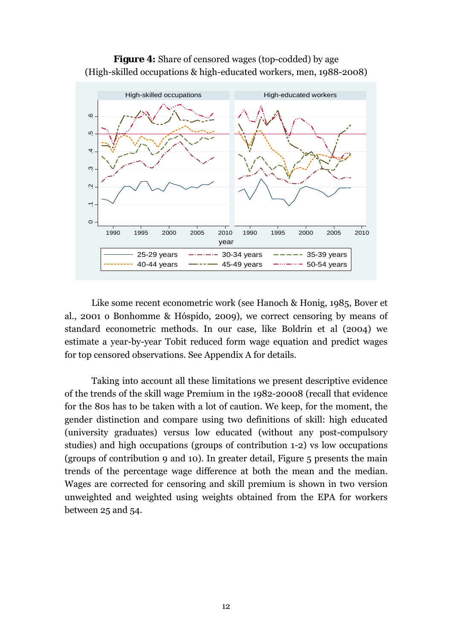



Like some recent econometric work (see Hanoch & Honig, 1985, Bover et al., 2001 o Bonhomme & Hóspido, 2009), we correct censoring by means of standard econometric methods. In our case, like Boldrin et al (2004) we estimate a year-by-year Tobit reduced form wage equation and predict wages for top censored observations. See Appendix A for details.

Taking into account all these limitations we present descriptive evidence of the trends of the skill wage Premium in the 1982-20008 (recall that evidence for the 80s has to be taken with a lot of caution. We keep, for the moment, the gender distinction and compare using two definitions of skill: high educated (university graduates) versus low educated (without any post-compulsory studies) and high occupations (groups of contribution 1-2) vs low occupations (groups of contribution 9 and 10). In greater detail, Figure 5 presents the main trends of the percentage wage difference at both the mean and the median. Wages are corrected for censoring and skill premium is shown in two version unweighted and weighted using weights obtained from the EPA for workers between 25 and 54.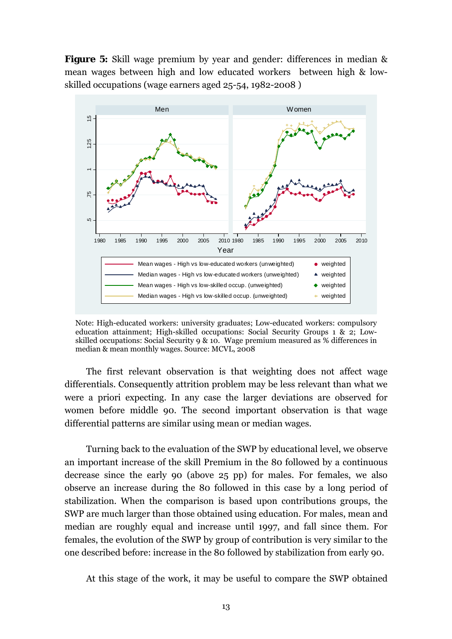**Figure 5:** Skill wage premium by year and gender: differences in median & mean wages between high and low educated workers between high & lowskilled occupations (wage earners aged 25-54, 1982-2008 )



Note: High-educated workers: university graduates; Low-educated workers: compulsory education attainment; High-skilled occupations: Social Security Groups 1 & 2; Lowskilled occupations: Social Security 9 & 10. Wage premium measured as % differences in median & mean monthly wages. Source: MCVL, 2008

The first relevant observation is that weighting does not affect wage differentials. Consequently attrition problem may be less relevant than what we were a priori expecting. In any case the larger deviations are observed for women before middle 90. The second important observation is that wage differential patterns are similar using mean or median wages.

Turning back to the evaluation of the SWP by educational level, we observe an important increase of the skill Premium in the 80 followed by a continuous decrease since the early 90 (above 25 pp) for males. For females, we also observe an increase during the 80 followed in this case by a long period of stabilization. When the comparison is based upon contributions groups, the SWP are much larger than those obtained using education. For males, mean and median are roughly equal and increase until 1997, and fall since them. For females, the evolution of the SWP by group of contribution is very similar to the one described before: increase in the 80 followed by stabilization from early 90.

At this stage of the work, it may be useful to compare the SWP obtained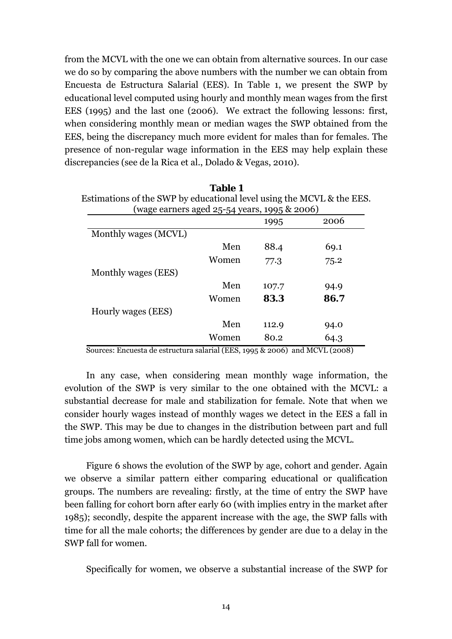from the MCVL with the one we can obtain from alternative sources. In our case we do so by comparing the above numbers with the number we can obtain from Encuesta de Estructura Salarial (EES). In Table 1, we present the SWP by educational level computed using hourly and monthly mean wages from the first EES (1995) and the last one (2006). We extract the following lessons: first, when considering monthly mean or median wages the SWP obtained from the EES, being the discrepancy much more evident for males than for females. The presence of non-regular wage information in the EES may help explain these discrepancies (see de la Rica et al., Dolado & Vegas, 2010).

|                      |       | 1995  | 2006 |
|----------------------|-------|-------|------|
| Monthly wages (MCVL) |       |       |      |
|                      | Men   | 88.4  | 69.1 |
|                      | Women | 77.3  | 75.2 |
| Monthly wages (EES)  |       |       |      |
|                      | Men   | 107.7 | 94.9 |
|                      | Women | 83.3  | 86.7 |
| Hourly wages (EES)   |       |       |      |
|                      | Men   | 112.9 | 94.0 |
|                      | Women | 80.2  | 64.3 |

**Table 1**  Estimations of the SWP by educational level using the MCVI & the

Sources: Encuesta de estructura salarial (EES, 1995 & 2006) and MCVL (2008)

In any case, when considering mean monthly wage information, the evolution of the SWP is very similar to the one obtained with the MCVL: a substantial decrease for male and stabilization for female. Note that when we consider hourly wages instead of monthly wages we detect in the EES a fall in the SWP. This may be due to changes in the distribution between part and full time jobs among women, which can be hardly detected using the MCVL.

Figure 6 shows the evolution of the SWP by age, cohort and gender. Again we observe a similar pattern either comparing educational or qualification groups. The numbers are revealing: firstly, at the time of entry the SWP have been falling for cohort born after early 60 (with implies entry in the market after 1985); secondly, despite the apparent increase with the age, the SWP falls with time for all the male cohorts; the differences by gender are due to a delay in the SWP fall for women.

Specifically for women, we observe a substantial increase of the SWP for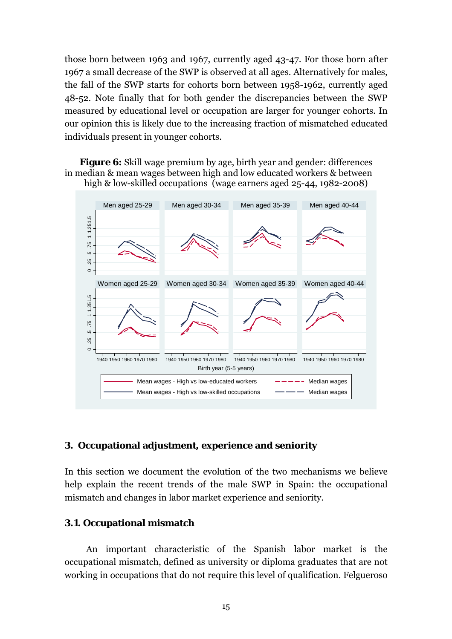those born between 1963 and 1967, currently aged 43-47. For those born after 1967 a small decrease of the SWP is observed at all ages. Alternatively for males, the fall of the SWP starts for cohorts born between 1958-1962, currently aged 48-52. Note finally that for both gender the discrepancies between the SWP measured by educational level or occupation are larger for younger cohorts. In our opinion this is likely due to the increasing fraction of mismatched educated individuals present in younger cohorts.

**Figure 6:** Skill wage premium by age, birth year and gender: differences in median & mean wages between high and low educated workers & between high & low-skilled occupations (wage earners aged 25-44, 1982-2008)



## **3. Occupational adjustment, experience and seniority**

In this section we document the evolution of the two mechanisms we believe help explain the recent trends of the male SWP in Spain: the occupational mismatch and changes in labor market experience and seniority.

## **3.1. Occupational mismatch**

An important characteristic of the Spanish labor market is the occupational mismatch, defined as university or diploma graduates that are not working in occupations that do not require this level of qualification. Felgueroso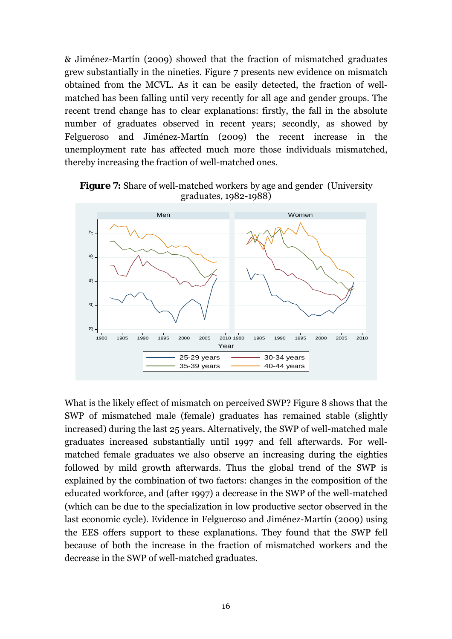& Jiménez-Martín (2009) showed that the fraction of mismatched graduates grew substantially in the nineties. Figure 7 presents new evidence on mismatch obtained from the MCVL. As it can be easily detected, the fraction of wellmatched has been falling until very recently for all age and gender groups. The recent trend change has to clear explanations: firstly, the fall in the absolute number of graduates observed in recent years; secondly, as showed by Felgueroso and Jiménez-Martín (2009) the recent increase in the unemployment rate has affected much more those individuals mismatched, thereby increasing the fraction of well-matched ones.





What is the likely effect of mismatch on perceived SWP? Figure 8 shows that the SWP of mismatched male (female) graduates has remained stable (slightly increased) during the last 25 years. Alternatively, the SWP of well-matched male graduates increased substantially until 1997 and fell afterwards. For wellmatched female graduates we also observe an increasing during the eighties followed by mild growth afterwards. Thus the global trend of the SWP is explained by the combination of two factors: changes in the composition of the educated workforce, and (after 1997) a decrease in the SWP of the well-matched (which can be due to the specialization in low productive sector observed in the last economic cycle). Evidence in Felgueroso and Jiménez-Martín (2009) using the EES offers support to these explanations. They found that the SWP fell because of both the increase in the fraction of mismatched workers and the decrease in the SWP of well-matched graduates.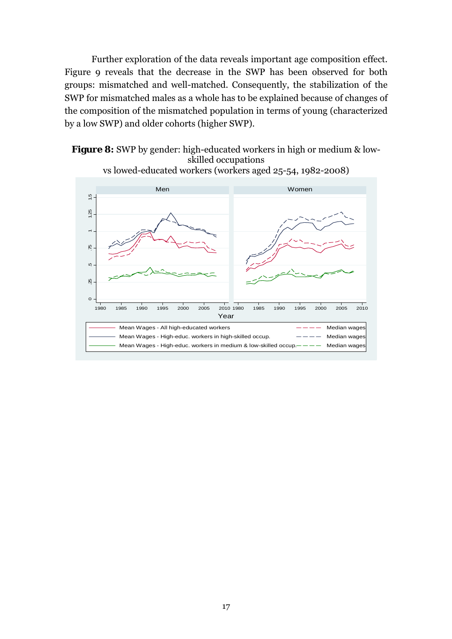Further exploration of the data reveals important age composition effect. Figure 9 reveals that the decrease in the SWP has been observed for both groups: mismatched and well-matched. Consequently, the stabilization of the SWP for mismatched males as a whole has to be explained because of changes of the composition of the mismatched population in terms of young (characterized by a low SWP) and older cohorts (higher SWP).





vs lowed-educated workers (workers aged 25-54, 1982-2008)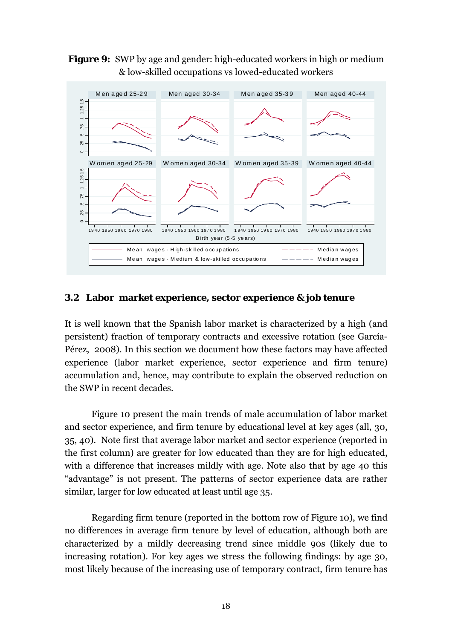**Figure 9:** SWP by age and gender: high-educated workers in high or medium & low-skilled occupations vs lowed-educated workers



## **3.2 Labor market experience, sector experience & job tenure**

It is well known that the Spanish labor market is characterized by a high (and persistent) fraction of temporary contracts and excessive rotation (see García-Pérez, 2008). In this section we document how these factors may have affected experience (labor market experience, sector experience and firm tenure) accumulation and, hence, may contribute to explain the observed reduction on the SWP in recent decades.

Figure 10 present the main trends of male accumulation of labor market and sector experience, and firm tenure by educational level at key ages (all, 30, 35, 40). Note first that average labor market and sector experience (reported in the first column) are greater for low educated than they are for high educated, with a difference that increases mildly with age. Note also that by age 40 this "advantage" is not present. The patterns of sector experience data are rather similar, larger for low educated at least until age 35.

Regarding firm tenure (reported in the bottom row of Figure 10), we find no differences in average firm tenure by level of education, although both are characterized by a mildly decreasing trend since middle 90s (likely due to increasing rotation). For key ages we stress the following findings: by age 30, most likely because of the increasing use of temporary contract, firm tenure has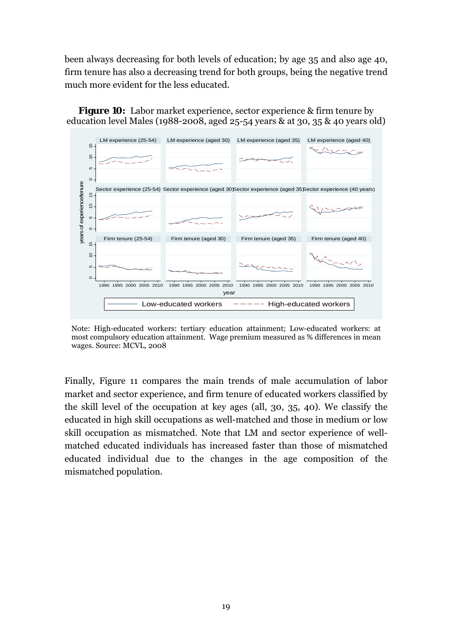been always decreasing for both levels of education; by age 35 and also age 40, firm tenure has also a decreasing trend for both groups, being the negative trend much more evident for the less educated.



**Figure 10:** Labor market experience, sector experience & firm tenure by education level Males (1988-2008, aged 25-54 years & at 30, 35 & 40 years old)

Note: High-educated workers: tertiary education attainment; Low-educated workers: at most compulsory education attainment. Wage premium measured as % differences in mean wages. Source: MCVL, 2008

Finally, Figure 11 compares the main trends of male accumulation of labor market and sector experience, and firm tenure of educated workers classified by the skill level of the occupation at key ages (all, 30, 35, 40). We classify the educated in high skill occupations as well-matched and those in medium or low skill occupation as mismatched. Note that LM and sector experience of wellmatched educated individuals has increased faster than those of mismatched educated individual due to the changes in the age composition of the mismatched population.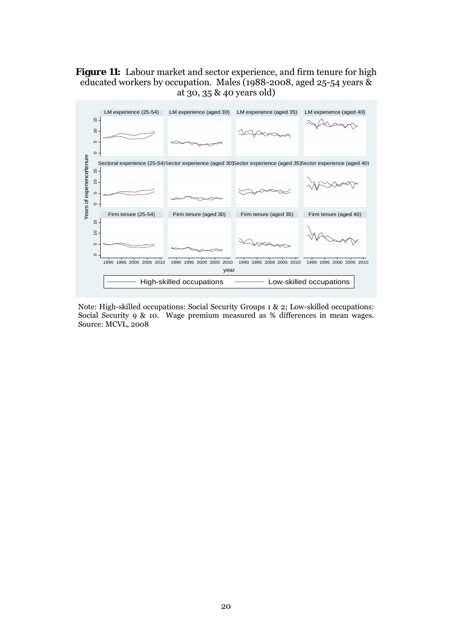## **Figure 11:** Labour market and sector experience, and firm tenure for high educated workers by occupation. Males (1988-2008, aged 25-54 years & at 30, 35 & 40 years old)



Note: High-skilled occupations: Social Security Groups 1 & 2; Low-skilled occupations: Social Security 9 & 10. Wage premium measured as % differences in mean wages. Source: MCVL, 2008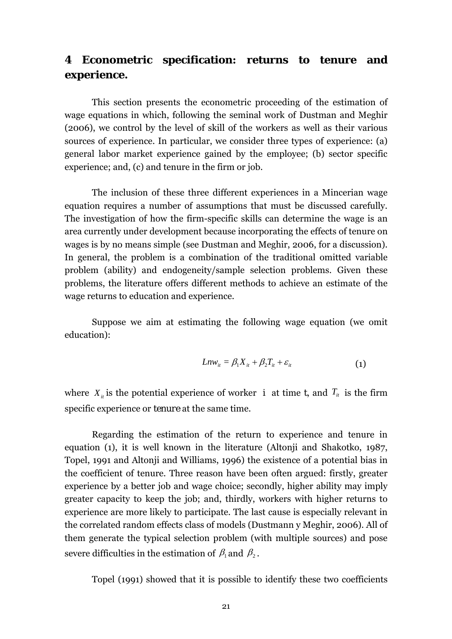# **4 Econometric specification: returns to tenure and experience.**

This section presents the econometric proceeding of the estimation of wage equations in which, following the seminal work of Dustman and Meghir (2006), we control by the level of skill of the workers as well as their various sources of experience. In particular, we consider three types of experience: (a) general labor market experience gained by the employee; (b) sector specific experience; and, (c) and tenure in the firm or job.

The inclusion of these three different experiences in a Mincerian wage equation requires a number of assumptions that must be discussed carefully. The investigation of how the firm-specific skills can determine the wage is an area currently under development because incorporating the effects of tenure on wages is by no means simple (see Dustman and Meghir, 2006, for a discussion). In general, the problem is a combination of the traditional omitted variable problem (ability) and endogeneity/sample selection problems. Given these problems, the literature offers different methods to achieve an estimate of the wage returns to education and experience.

Suppose we aim at estimating the following wage equation (we omit education):

$$
Ln w_{it} = \beta_1 X_{it} + \beta_2 T_{it} + \varepsilon_{it}
$$
 (1)

where  $X_i$  is the potential experience of worker *i* at time *t*, and  $T_i$  is the firm specific experience or *tenure* at the same time.

Regarding the estimation of the return to experience and tenure in equation (1), it is well known in the literature (Altonji and Shakotko, 1987, Topel, 1991 and Altonji and Williams, 1996) the existence of a potential bias in the coefficient of tenure. Three reason have been often argued: firstly, greater experience by a better job and wage choice; secondly, higher ability may imply greater capacity to keep the job; and, thirdly, workers with higher returns to experience are more likely to participate. The last cause is especially relevant in the correlated random effects class of models (Dustmann y Meghir, 2006). All of them generate the typical selection problem (with multiple sources) and pose severe difficulties in the estimation of  $\beta_1$  and  $\beta_2$ .

Topel (1991) showed that it is possible to identify these two coefficients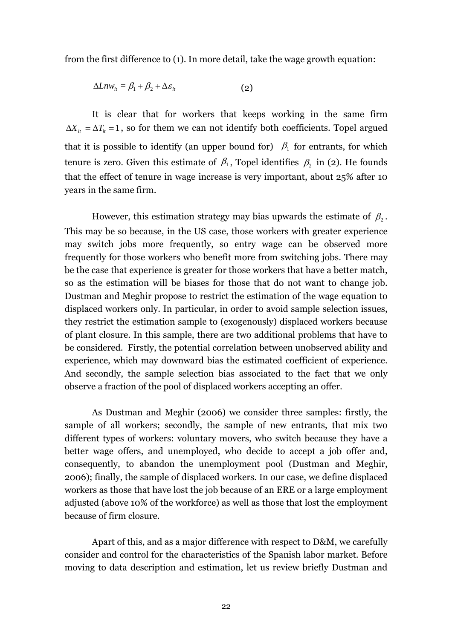from the first difference to (1). In more detail, take the wage growth equation:

$$
\Delta Lnw_{it} = \beta_1 + \beta_2 + \Delta \varepsilon_{it} \tag{2}
$$

It is clear that for workers that keeps working in the same firm  $\Delta X_i = \Delta T_i = 1$ , so for them we can not identify both coefficients. Topel argued that it is possible to identify (an upper bound for)  $\beta_1$  for entrants, for which tenure is zero. Given this estimate of  $\beta_1$ , Topel identifies  $\beta_2$  in (2). He founds that the effect of tenure in wage increase is very important, about 25% after 10 years in the same firm.

However, this estimation strategy may bias upwards the estimate of  $\beta_2$ . This may be so because, in the US case, those workers with greater experience may switch jobs more frequently, so entry wage can be observed more frequently for those workers who benefit more from switching jobs. There may be the case that experience is greater for those workers that have a better match, so as the estimation will be biases for those that do not want to change job. Dustman and Meghir propose to restrict the estimation of the wage equation to displaced workers only. In particular, in order to avoid sample selection issues, they restrict the estimation sample to (exogenously) displaced workers because of plant closure. In this sample, there are two additional problems that have to be considered. Firstly, the potential correlation between unobserved ability and experience, which may downward bias the estimated coefficient of experience. And secondly, the sample selection bias associated to the fact that we only observe a fraction of the pool of displaced workers accepting an offer.

As Dustman and Meghir (2006) we consider three samples: firstly, the sample of all workers; secondly, the sample of new entrants, that mix two different types of workers: voluntary movers, who switch because they have a better wage offers, and unemployed, who decide to accept a job offer and, consequently, to abandon the unemployment pool (Dustman and Meghir, 2006); finally, the sample of displaced workers. In our case, we define displaced workers as those that have lost the job because of an ERE or a large employment adjusted (above 10% of the workforce) as well as those that lost the employment because of firm closure.

Apart of this, and as a major difference with respect to D&M, we carefully consider and control for the characteristics of the Spanish labor market. Before moving to data description and estimation, let us review briefly Dustman and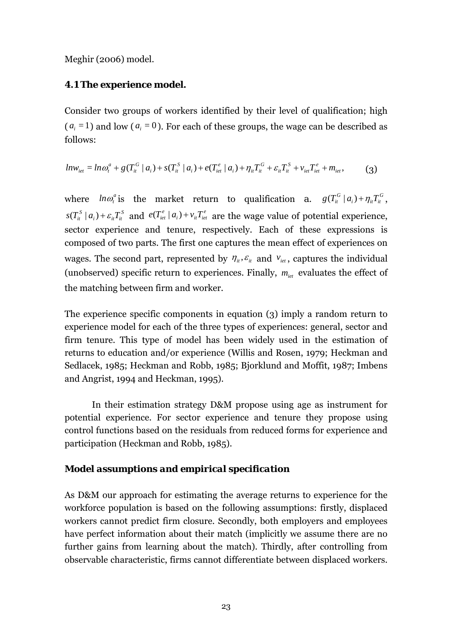Meghir (2006) model.

## **4.1 The experience model.**

Consider two groups of workers identified by their level of qualification; high  $(a<sub>i</sub> = 1)$  and low  $(a<sub>i</sub> = 0)$ . For each of these groups, the wage can be described as follows:

$$
ln w_{\text{iet}} = ln \omega_t^a + g(T_{\text{it}}^G \mid a_i) + s(T_{\text{it}}^S \mid a_i) + e(T_{\text{it}}^e \mid a_i) + \eta_{\text{it}} T_{\text{it}}^G + \varepsilon_{\text{it}} T_{\text{it}}^S + v_{\text{it}} T_{\text{it}}^e + m_{\text{it}},
$$
 (3)

where  $ln \omega_i^a$  is the market return to qualification *a*.  $g(T_i^G | a_i) + \eta_i T_i^G$ , *S*  $s(T_{it}^s | a_i) + \varepsilon_{it} T_{it}^s$  and  $e(T_{it}^e | a_i) + v_{it} T_{it}^e$  are the wage value of potential experience, sector experience and tenure, respectively. Each of these expressions is composed of two parts. The first one captures the mean effect of experiences on wages. The second part, represented by  $\eta_i$ ,  $\varepsilon_i$  and  $v_{i\epsilon}$ , captures the individual (unobserved) specific return to experiences. Finally,  $m_{jet}$  evaluates the effect of the matching between firm and worker.

The experience specific components in equation (3) imply a random return to experience model for each of the three types of experiences: general, sector and firm tenure. This type of model has been widely used in the estimation of returns to education and/or experience (Willis and Rosen, 1979; Heckman and Sedlacek, 1985; Heckman and Robb, 1985; Bjorklund and Moffit, 1987; Imbens and Angrist, 1994 and Heckman, 1995).

In their estimation strategy D&M propose using age as instrument for potential experience. For sector experience and tenure they propose using control functions based on the residuals from reduced forms for experience and participation (Heckman and Robb, 1985).

## *Model assumptions and empirical specification*

As D&M our approach for estimating the average returns to experience for the workforce population is based on the following assumptions: firstly, displaced workers cannot predict firm closure. Secondly, both employers and employees have perfect information about their match (implicitly we assume there are no further gains from learning about the match). Thirdly, after controlling from observable characteristic, firms cannot differentiate between displaced workers.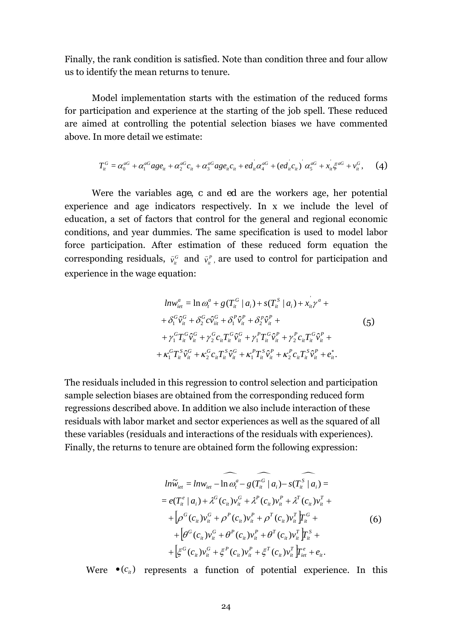Finally, the rank condition is satisfied. Note than condition three and four allow us to identify the mean returns to tenure.

Model implementation starts with the estimation of the reduced forms for participation and experience at the starting of the job spell. These reduced are aimed at controlling the potential selection biases we have commented above. In more detail we estimate:

$$
T_{ii}^{G} = \alpha_0^{aG} + \alpha_1^{aG} age_{ii} + \alpha_2^{aG} c_{ii} + \alpha_3^{aG} age_{ii} c_{ii} + ed_{ii}^{aG} \alpha_4^{aG} + (ed_{ii}^{'} c_{ii})^{'} \alpha_5^{aG} + x_{ii}^{'} \xi^{aG} + v_{ii}^{G},
$$
 (4)

Were the variables *age*, *c* and *ed* are the workers age, her potential experience and age indicators respectively. In x we include the level of education, a set of factors that control for the general and regional economic conditions, and year dummies. The same specification is used to model labor force participation. After estimation of these reduced form equation the corresponding residuals,  $\hat{v}_i^c$  and  $\hat{v}_i^r$ , are used to control for participation and experience in the wage equation:

$$
ln w_{iet}^{a} = \ln \omega_{t}^{a} + g(T_{it}^{G} | a_{i}) + s(T_{it}^{S} | a_{i}) + x_{it}^{'} \gamma^{a} +
$$
  
+  $\delta_{1}^{G} \hat{v}_{it}^{G} + \delta_{2}^{G} c \hat{v}_{it}^{G} + \delta_{1}^{P} \hat{v}_{it}^{P} + \delta_{2}^{P} \hat{v}_{it}^{P} +$   
+  $\gamma_{1}^{G} T_{it}^{G} \hat{v}_{it}^{G} + \gamma_{2}^{G} c_{it} T_{it}^{G} \hat{v}_{it}^{G} + \gamma_{1}^{P} T_{it}^{G} \hat{v}_{it}^{P} + \gamma_{2}^{P} c_{it} T_{it}^{G} \hat{v}_{it}^{P} +$   
+  $\kappa_{1}^{G} T_{it}^{S} \hat{v}_{it}^{G} + \kappa_{2}^{G} c_{it} T_{it}^{S} \hat{v}_{it}^{G} + \kappa_{1}^{P} T_{it}^{S} \hat{v}_{it}^{P} + \kappa_{2}^{P} c_{it} T_{it}^{S} \hat{v}_{it}^{P} + e_{it}^{*}.$  (5)

The residuals included in this regression to control selection and participation sample selection biases are obtained from the corresponding reduced form regressions described above. In addition we also include interaction of these residuals with labor market and sector experiences as well as the squared of all these variables (residuals and interactions of the residuals with experiences). Finally, the returns to tenure are obtained form the following expression:

$$
ln\widetilde{w}_{iet} = ln w_{iet} - ln \omega_t^a - g(\widehat{T_{it}}^G | a_i) - s(\widehat{T_{it}}^S | a_i) =
$$
  
\n
$$
= e(T_{it}^e | a_i) + \lambda^G (c_{it}) v_{it}^G + \lambda^P (c_{it}) v_{it}^P + \lambda^T (c_{it}) v_{it}^T +
$$
  
\n
$$
+ [\rho^G (c_{it}) v_{it}^G + \rho^P (c_{it}) v_{it}^P + \rho^T (c_{it}) v_{it}^T] \Gamma_{it}^G +
$$
  
\n
$$
+ [\theta^G (c_{it}) v_{it}^G + \theta^P (c_{it}) v_{it}^P + \theta^T (c_{it}) v_{it}^T] \Gamma_{it}^S +
$$
  
\n
$$
+ [\xi^G (c_{it}) v_{it}^G + \xi^P (c_{it}) v_{it}^P + \xi^T (c_{it}) v_{it}^T] \Gamma_{iet}^e + e_{it}.
$$

Were  $\bullet$   $(c_i)$  represents a function of potential experience. In this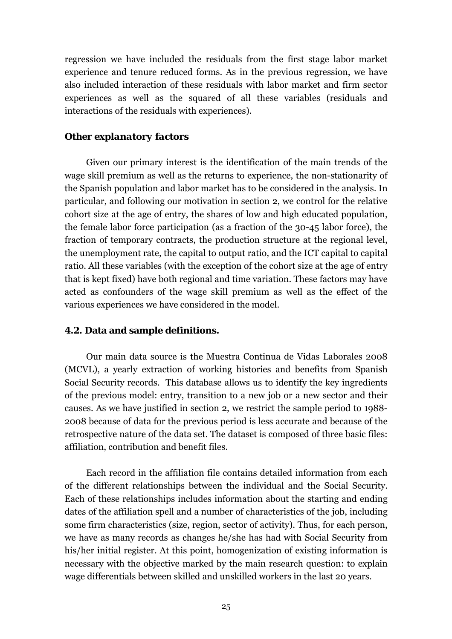regression we have included the residuals from the first stage labor market experience and tenure reduced forms. As in the previous regression, we have also included interaction of these residuals with labor market and firm sector experiences as well as the squared of all these variables (residuals and interactions of the residuals with experiences).

## *Other explanatory factors*

Given our primary interest is the identification of the main trends of the wage skill premium as well as the returns to experience, the non-stationarity of the Spanish population and labor market has to be considered in the analysis. In particular, and following our motivation in section 2, we control for the relative cohort size at the age of entry, the shares of low and high educated population, the female labor force participation (as a fraction of the 30-45 labor force), the fraction of temporary contracts, the production structure at the regional level, the unemployment rate, the capital to output ratio, and the ICT capital to capital ratio. All these variables (with the exception of the cohort size at the age of entry that is kept fixed) have both regional and time variation. These factors may have acted as confounders of the wage skill premium as well as the effect of the various experiences we have considered in the model.

## **4.2. Data and sample definitions.**

Our main data source is the Muestra Continua de Vidas Laborales 2008 (MCVL), a yearly extraction of working histories and benefits from Spanish Social Security records. This database allows us to identify the key ingredients of the previous model: entry, transition to a new job or a new sector and their causes. As we have justified in section 2, we restrict the sample period to 1988- 2008 because of data for the previous period is less accurate and because of the retrospective nature of the data set. The dataset is composed of three basic files: affiliation, contribution and benefit files.

Each record in the affiliation file contains detailed information from each of the different relationships between the individual and the Social Security. Each of these relationships includes information about the starting and ending dates of the affiliation spell and a number of characteristics of the job, including some firm characteristics (size, region, sector of activity). Thus, for each person, we have as many records as changes he/she has had with Social Security from his/her initial register. At this point, homogenization of existing information is necessary with the objective marked by the main research question: to explain wage differentials between skilled and unskilled workers in the last 20 years.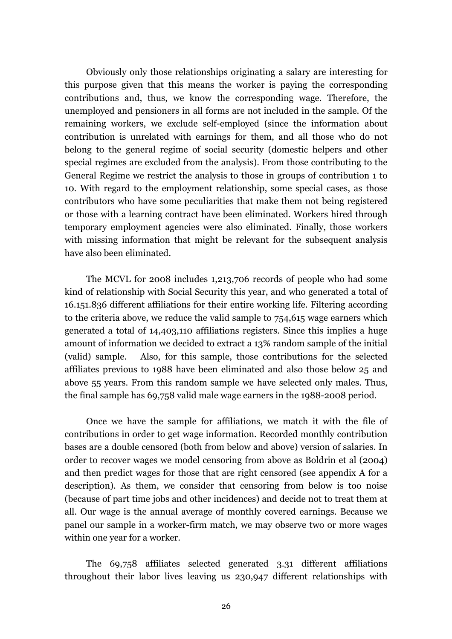Obviously only those relationships originating a salary are interesting for this purpose given that this means the worker is paying the corresponding contributions and, thus, we know the corresponding wage. Therefore, the unemployed and pensioners in all forms are not included in the sample. Of the remaining workers, we exclude self-employed (since the information about contribution is unrelated with earnings for them, and all those who do not belong to the general regime of social security (domestic helpers and other special regimes are excluded from the analysis). From those contributing to the General Regime we restrict the analysis to those in groups of contribution 1 to 10. With regard to the employment relationship, some special cases, as those contributors who have some peculiarities that make them not being registered or those with a learning contract have been eliminated. Workers hired through temporary employment agencies were also eliminated. Finally, those workers with missing information that might be relevant for the subsequent analysis have also been eliminated.

The MCVL for 2008 includes 1,213,706 records of people who had some kind of relationship with Social Security this year, and who generated a total of 16.151.836 different affiliations for their entire working life. Filtering according to the criteria above, we reduce the valid sample to 754,615 wage earners which generated a total of 14,403,110 affiliations registers. Since this implies a huge amount of information we decided to extract a 13% random sample of the initial (valid) sample. Also, for this sample, those contributions for the selected affiliates previous to 1988 have been eliminated and also those below 25 and above 55 years. From this random sample we have selected only males. Thus, the final sample has 69,758 valid male wage earners in the 1988-2008 period.

Once we have the sample for affiliations, we match it with the file of contributions in order to get wage information. Recorded monthly contribution bases are a double censored (both from below and above) version of salaries. In order to recover wages we model censoring from above as Boldrin et al (2004) and then predict wages for those that are right censored (see appendix A for a description). As them, we consider that censoring from below is too noise (because of part time jobs and other incidences) and decide not to treat them at all. Our wage is the annual average of monthly covered earnings. Because we panel our sample in a worker-firm match, we may observe two or more wages within one year for a worker.

The 69,758 affiliates selected generated 3.31 different affiliations throughout their labor lives leaving us 230,947 different relationships with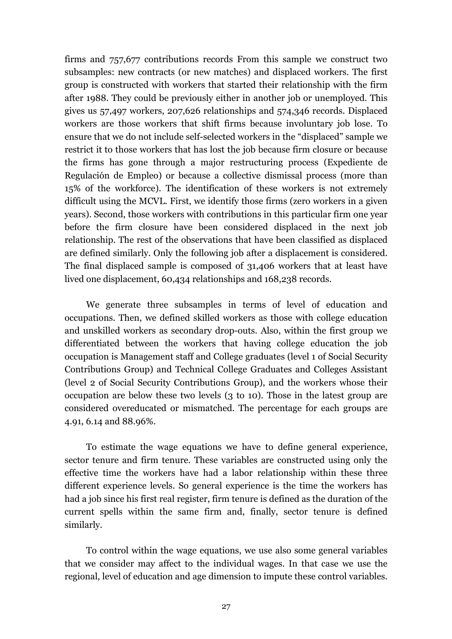firms and 757,677 contributions records From this sample we construct two subsamples: new contracts (or new matches) and displaced workers. The first group is constructed with workers that started their relationship with the firm after 1988. They could be previously either in another job or unemployed. This gives us 57,497 workers, 207,626 relationships and 574,346 records. Displaced workers are those workers that shift firms because involuntary job lose. To ensure that we do not include self-selected workers in the "displaced" sample we restrict it to those workers that has lost the job because firm closure or because the firms has gone through a major restructuring process (Expediente de Regulación de Empleo) or because a collective dismissal process (more than 15% of the workforce). The identification of these workers is not extremely difficult using the MCVL. First, we identify those firms (zero workers in a given years). Second, those workers with contributions in this particular firm one year before the firm closure have been considered displaced in the next job relationship. The rest of the observations that have been classified as displaced are defined similarly. Only the following job after a displacement is considered. The final displaced sample is composed of 31,406 workers that at least have lived one displacement, 60,434 relationships and 168,238 records.

We generate three subsamples in terms of level of education and occupations. Then, we defined skilled workers as those with college education and unskilled workers as secondary drop-outs. Also, within the first group we differentiated between the workers that having college education the job occupation is Management staff and College graduates (level 1 of Social Security Contributions Group) and Technical College Graduates and Colleges Assistant (level 2 of Social Security Contributions Group), and the workers whose their occupation are below these two levels (3 to 10). Those in the latest group are considered overeducated or mismatched. The percentage for each groups are 4.91, 6.14 and 88.96%.

To estimate the wage equations we have to define general experience, sector tenure and firm tenure. These variables are constructed using only the effective time the workers have had a labor relationship within these three different experience levels. So general experience is the time the workers has had a job since his first real register, firm tenure is defined as the duration of the current spells within the same firm and, finally, sector tenure is defined similarly.

To control within the wage equations, we use also some general variables that we consider may affect to the individual wages. In that case we use the regional, level of education and age dimension to impute these control variables.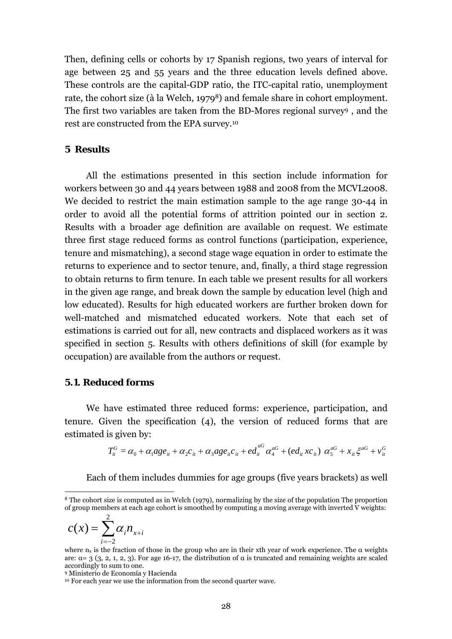Then, defining cells or cohorts by 17 Spanish regions, two years of interval for age between 25 and 55 years and the three education levels defined above. These controls are the capital-GDP ratio, the ITC-capital ratio, unemployment rate, the cohort size (à la Welch, 19798) and female share in cohort employment. The first two variables are taken from the BD-Mores regional survey9 , and the rest are constructed from the EPA survey.10

## **5 Results**

All the estimations presented in this section include information for workers between 30 and 44 years between 1988 and 2008 from the MCVL2008. We decided to restrict the main estimation sample to the age range 30-44 in order to avoid all the potential forms of attrition pointed our in section 2. Results with a broader age definition are available on request. We estimate three first stage reduced forms as control functions (participation, experience, tenure and mismatching), a second stage wage equation in order to estimate the returns to experience and to sector tenure, and, finally, a third stage regression to obtain returns to firm tenure. In each table we present results for all workers in the given age range, and break down the sample by education level (high and low educated). Results for high educated workers are further broken down for well-matched and mismatched educated workers. Note that each set of estimations is carried out for all, new contracts and displaced workers as it was specified in section 5. Results with others definitions of skill (for example by occupation) are available from the authors or request.

## **5.1. Reduced forms**

We have estimated three reduced forms: experience, participation, and tenure. Given the specification (4), the version of reduced forms that are estimated is given by:

$$
T_{ii}^{G} = \alpha_0 + \alpha_1 a g e_{ii} + \alpha_2 c_{ii} + \alpha_3 a g e_{ii} c_{ii} + e d_{ii}^{aG} \alpha_4^{aG} + (e d_{ii} x c_{ii}) \alpha_5^{aG} + x_{ii} \xi^{aG} + v_{ii}^{G}
$$

Each of them includes dummies for age groups (five years brackets) as well

$$
c(x) = \sum_{i=-2}^{2} \alpha_i n_{x+i}
$$

 $\overline{a}$ 

<sup>8</sup> The cohort size is computed as in Welch (1979), normalizing by the size of the population The proportion of group members at each age cohort is smoothed by computing a moving average with inverted V weights:

where  $n_x$  is the fraction of those in the group who are in their xth year of work experience. The  $\alpha$  weights are:  $\alpha = 3$  (3, 2, 1, 2, 3). For age 16-17, the distribution of  $\alpha$  is truncated and remaining weights are scaled accordingly to sum to one.

<sup>9</sup> Ministerio de Economía y Hacienda

<sup>&</sup>lt;sup>10</sup> For each year we use the information from the second quarter wave.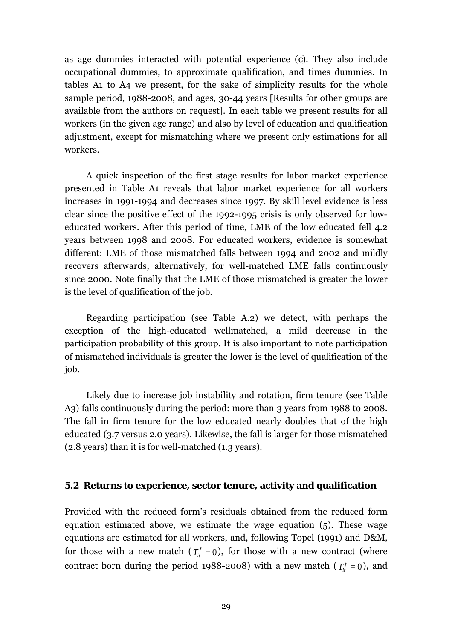as age dummies interacted with potential experience (*c*). They also include occupational dummies, to approximate qualification, and times dummies. In tables A1 to A4 we present, for the sake of simplicity results for the whole sample period, 1988-2008, and ages, 30-44 years [Results for other groups are available from the authors on request]. In each table we present results for all workers (in the given age range) and also by level of education and qualification adjustment, except for mismatching where we present only estimations for all workers.

A quick inspection of the first stage results for labor market experience presented in Table A1 reveals that labor market experience for all workers increases in 1991-1994 and decreases since 1997. By skill level evidence is less clear since the positive effect of the 1992-1995 crisis is only observed for loweducated workers. After this period of time, LME of the low educated fell 4.2 years between 1998 and 2008. For educated workers, evidence is somewhat different: LME of those mismatched falls between 1994 and 2002 and mildly recovers afterwards; alternatively, for well-matched LME falls continuously since 2000. Note finally that the LME of those mismatched is greater the lower is the level of qualification of the job.

Regarding participation (see Table A.2) we detect, with perhaps the exception of the high-educated wellmatched, a mild decrease in the participation probability of this group. It is also important to note participation of mismatched individuals is greater the lower is the level of qualification of the job.

Likely due to increase job instability and rotation, firm tenure (see Table A3) falls continuously during the period: more than 3 years from 1988 to 2008. The fall in firm tenure for the low educated nearly doubles that of the high educated (3.7 versus 2.0 years). Likewise, the fall is larger for those mismatched (2.8 years) than it is for well-matched (1.3 years).

## **5.2 Returns to experience, sector tenure, activity and qualification**

Provided with the reduced form's residuals obtained from the reduced form equation estimated above, we estimate the wage equation (5). These wage equations are estimated for all workers, and, following Topel (1991) and D&M, for those with a new match  $(T_i^f = 0)$ , for those with a new contract (where contract born during the period 1988-2008) with a new match  $(T_{\text{tr}}^f = 0)$ , and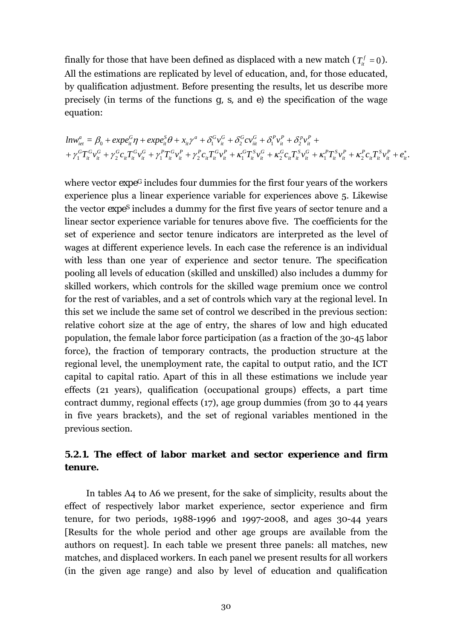finally for those that have been defined as displaced with a new match ( $T_{it}^f = 0$ ). All the estimations are replicated by level of education, and, for those educated, by qualification adjustment. Before presenting the results, let us describe more precisely (in terms of the functions *g, s,* and *e)* the specification of the wage equation:

$$
ln w_{iet}^a = \beta_0 + exp e_{it}^G \eta + exp e_{it}^S \theta + x_{it} \gamma^a + \delta_1^G v_{it}^G + \delta_2^G c v_{it}^G + \delta_1^P v_{it}^P + \delta_2^P v_{it}^P + + \gamma_1^G T_{it}^G v_{it}^G + \gamma_2^G c_{it} T_{it}^G v_{it}^B + \gamma_1^P T_{it}^G v_{it}^P + \gamma_2^P c_{it} T_{it}^G v_{it}^P + \kappa_1^G T_{it}^S v_{it}^G + \kappa_2^G c_{it} T_{it}^S v_{it}^G + \kappa_1^P T_{it}^S v_{it}^P + \kappa_2^P c_{it} T_{it}^S v_{it}^P + \epsilon_{it}^*
$$

where vector  $\exp e^G$  includes four dummies for the first four years of the workers experience plus a linear experience variable for experiences above 5. Likewise the vector *expeS* includes a dummy for the first five years of sector tenure and a linear sector experience variable for tenures above five. The coefficients for the set of experience and sector tenure indicators are interpreted as the level of wages at different experience levels. In each case the reference is an individual with less than one year of experience and sector tenure. The specification pooling all levels of education (skilled and unskilled) also includes a dummy for skilled workers, which controls for the skilled wage premium once we control for the rest of variables, and a set of controls which vary at the regional level. In this set we include the same set of control we described in the previous section: relative cohort size at the age of entry, the shares of low and high educated population, the female labor force participation (as a fraction of the 30-45 labor force), the fraction of temporary contracts, the production structure at the regional level, the unemployment rate, the capital to output ratio, and the ICT capital to capital ratio. Apart of this in all these estimations we include year effects (21 years), qualification (occupational groups) effects, a part time contract dummy, regional effects (17), age group dummies (from 30 to 44 years in five years brackets), and the set of regional variables mentioned in the previous section.

# *5.2.1. The effect of labor market and sector experience and firm tenure.*

In tables A4 to A6 we present, for the sake of simplicity, results about the effect of respectively labor market experience, sector experience and firm tenure, for two periods, 1988-1996 and 1997-2008, and ages 30-44 years [Results for the whole period and other age groups are available from the authors on request]. In each table we present three panels: all matches, new matches, and displaced workers. In each panel we present results for all workers (in the given age range) and also by level of education and qualification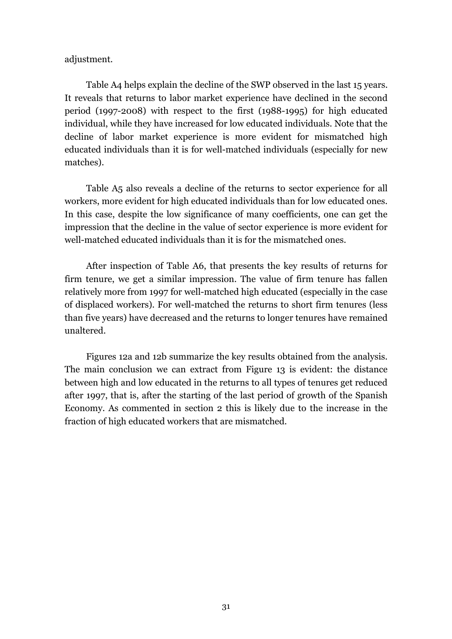adjustment.

Table A4 helps explain the decline of the SWP observed in the last 15 years. It reveals that returns to labor market experience have declined in the second period (1997-2008) with respect to the first (1988-1995) for high educated individual, while they have increased for low educated individuals. Note that the decline of labor market experience is more evident for mismatched high educated individuals than it is for well-matched individuals (especially for new matches).

Table A5 also reveals a decline of the returns to sector experience for all workers, more evident for high educated individuals than for low educated ones. In this case, despite the low significance of many coefficients, one can get the impression that the decline in the value of sector experience is more evident for well-matched educated individuals than it is for the mismatched ones.

After inspection of Table A6, that presents the key results of returns for firm tenure, we get a similar impression. The value of firm tenure has fallen relatively more from 1997 for well-matched high educated (especially in the case of displaced workers). For well-matched the returns to short firm tenures (less than five years) have decreased and the returns to longer tenures have remained unaltered.

Figures 12a and 12b summarize the key results obtained from the analysis. The main conclusion we can extract from Figure 13 is evident: the distance between high and low educated in the returns to all types of tenures get reduced after 1997, that is, after the starting of the last period of growth of the Spanish Economy. As commented in section 2 this is likely due to the increase in the fraction of high educated workers that are mismatched.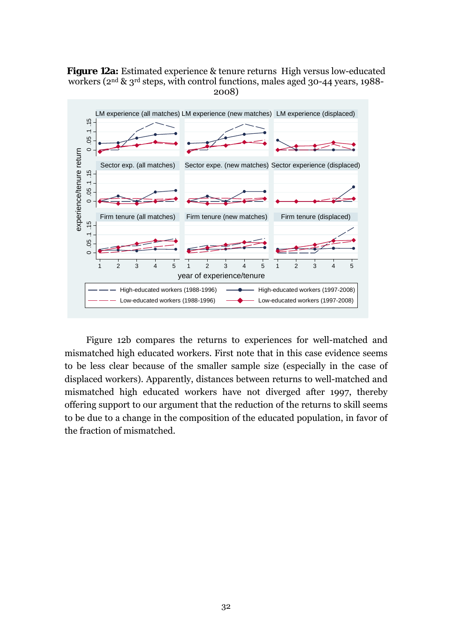**Figure 12a:** Estimated experience & tenure returns High versus low-educated workers (2nd & 3rd steps, with control functions, males aged 30-44 years, 1988- 2008)



Figure 12b compares the returns to experiences for well-matched and mismatched high educated workers. First note that in this case evidence seems to be less clear because of the smaller sample size (especially in the case of displaced workers). Apparently, distances between returns to well-matched and mismatched high educated workers have not diverged after 1997, thereby offering support to our argument that the reduction of the returns to skill seems to be due to a change in the composition of the educated population, in favor of the fraction of mismatched.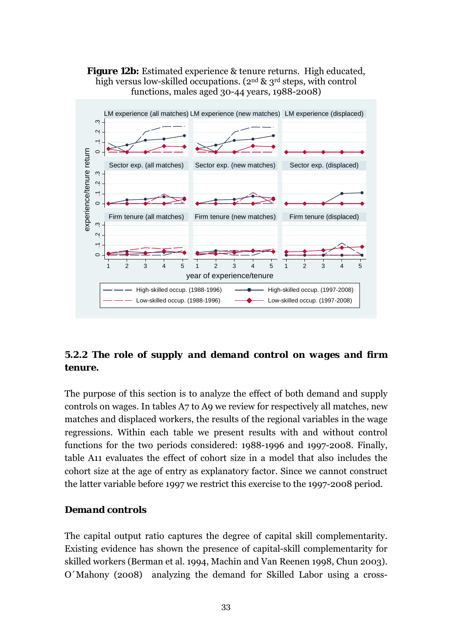**Figure 12b:** Estimated experience & tenure returns. High educated, high versus low-skilled occupations. (2<sup>nd</sup> & 3<sup>rd</sup> steps, with control functions, males aged 30-44 years, 1988-2008)



# *5.2.2 The role of supply and demand control on wages and firm tenure.*

The purpose of this section is to analyze the effect of both demand and supply controls on wages. In tables A7 to A9 we review for respectively all matches, new matches and displaced workers, the results of the regional variables in the wage regressions. Within each table we present results with and without control functions for the two periods considered: 1988-1996 and 1997-2008. Finally, table A11 evaluates the effect of cohort size in a model that also includes the cohort size at the age of entry as explanatory factor. Since we cannot construct the latter variable before 1997 we restrict this exercise to the 1997-2008 period.

## *Demand controls*

The capital output ratio captures the degree of capital skill complementarity. Existing evidence has shown the presence of capital-skill complementarity for skilled workers (Berman et al. 1994, Machin and Van Reenen 1998, Chun 2003). O´Mahony (2008) analyzing the demand for Skilled Labor using a cross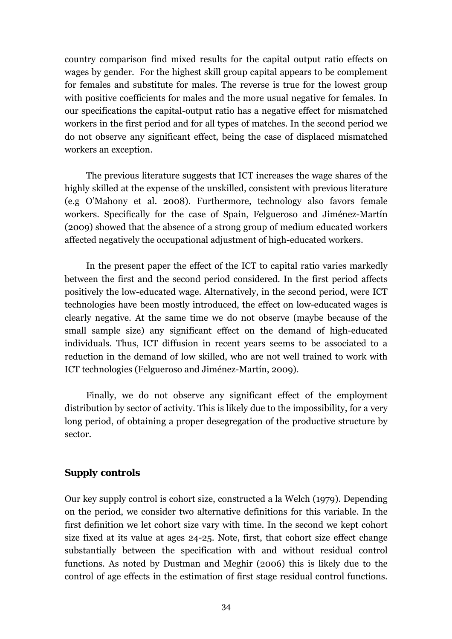country comparison find mixed results for the capital output ratio effects on wages by gender. For the highest skill group capital appears to be complement for females and substitute for males. The reverse is true for the lowest group with positive coefficients for males and the more usual negative for females. In our specifications the capital-output ratio has a negative effect for mismatched workers in the first period and for all types of matches. In the second period we do not observe any significant effect, being the case of displaced mismatched workers an exception.

The previous literature suggests that ICT increases the wage shares of the highly skilled at the expense of the unskilled, consistent with previous literature (e.g O'Mahony et al. 2008). Furthermore, technology also favors female workers. Specifically for the case of Spain, Felgueroso and Jiménez-Martín (2009) showed that the absence of a strong group of medium educated workers affected negatively the occupational adjustment of high-educated workers.

In the present paper the effect of the ICT to capital ratio varies markedly between the first and the second period considered. In the first period affects positively the low-educated wage. Alternatively, in the second period, were ICT technologies have been mostly introduced, the effect on low-educated wages is clearly negative. At the same time we do not observe (maybe because of the small sample size) any significant effect on the demand of high-educated individuals. Thus, ICT diffusion in recent years seems to be associated to a reduction in the demand of low skilled, who are not well trained to work with ICT technologies (Felgueroso and Jiménez-Martín, 2009).

Finally, we do not observe any significant effect of the employment distribution by sector of activity. This is likely due to the impossibility, for a very long period, of obtaining a proper desegregation of the productive structure by sector.

# *Supply controls*

Our key supply control is cohort size, constructed a la Welch (1979). Depending on the period, we consider two alternative definitions for this variable. In the first definition we let cohort size vary with time. In the second we kept cohort size fixed at its value at ages 24-25. Note, first, that cohort size effect change substantially between the specification with and without residual control functions. As noted by Dustman and Meghir (2006) this is likely due to the control of age effects in the estimation of first stage residual control functions.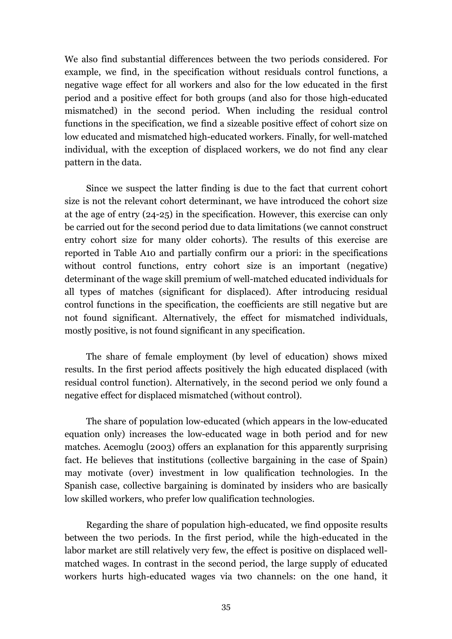We also find substantial differences between the two periods considered. For example, we find, in the specification without residuals control functions, a negative wage effect for all workers and also for the low educated in the first period and a positive effect for both groups (and also for those high-educated mismatched) in the second period. When including the residual control functions in the specification, we find a sizeable positive effect of cohort size on low educated and mismatched high-educated workers. Finally, for well-matched individual, with the exception of displaced workers, we do not find any clear pattern in the data.

Since we suspect the latter finding is due to the fact that current cohort size is not the relevant cohort determinant, we have introduced the cohort size at the age of entry (24-25) in the specification. However, this exercise can only be carried out for the second period due to data limitations (we cannot construct entry cohort size for many older cohorts). The results of this exercise are reported in Table A10 and partially confirm our a priori: in the specifications without control functions, entry cohort size is an important (negative) determinant of the wage skill premium of well-matched educated individuals for all types of matches (significant for displaced). After introducing residual control functions in the specification, the coefficients are still negative but are not found significant. Alternatively, the effect for mismatched individuals, mostly positive, is not found significant in any specification.

The share of female employment (by level of education) shows mixed results. In the first period affects positively the high educated displaced (with residual control function). Alternatively, in the second period we only found a negative effect for displaced mismatched (without control).

The share of population low-educated (which appears in the low-educated equation only) increases the low-educated wage in both period and for new matches. Acemoglu (2003) offers an explanation for this apparently surprising fact. He believes that institutions (collective bargaining in the case of Spain) may motivate (over) investment in low qualification technologies. In the Spanish case, collective bargaining is dominated by insiders who are basically low skilled workers, who prefer low qualification technologies.

Regarding the share of population high-educated, we find opposite results between the two periods. In the first period, while the high-educated in the labor market are still relatively very few, the effect is positive on displaced wellmatched wages. In contrast in the second period, the large supply of educated workers hurts high-educated wages via two channels: on the one hand, it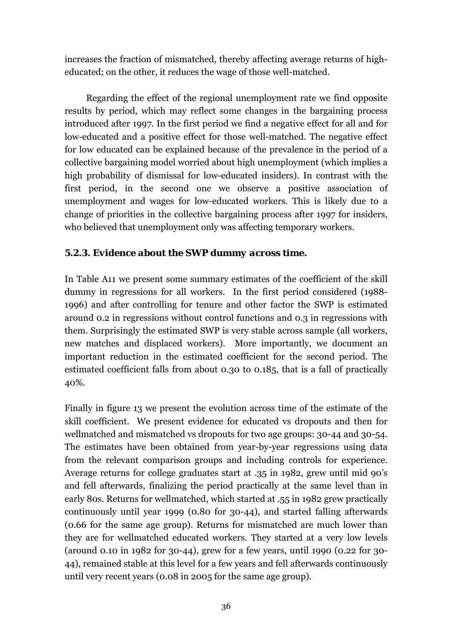increases the fraction of mismatched, thereby affecting average returns of higheducated; on the other, it reduces the wage of those well-matched.

Regarding the effect of the regional unemployment rate we find opposite results by period, which may reflect some changes in the bargaining process introduced after 1997. In the first period we find a negative effect for all and for low-educated and a positive effect for those well-matched. The negative effect for low educated can be explained because of the prevalence in the period of a collective bargaining model worried about high unemployment (which implies a high probability of dismissal for low-educated insiders). In contrast with the first period, in the second one we observe a positive association of unemployment and wages for low-educated workers. This is likely due to a change of priorities in the collective bargaining process after 1997 for insiders, who believed that unemployment only was affecting temporary workers.

## *5.2.3. Evidence about the SWP dummy across time.*

In Table A11 we present some summary estimates of the coefficient of the skill dummy in regressions for all workers. In the first period considered (1988- 1996) and after controlling for tenure and other factor the SWP is estimated around 0.2 in regressions without control functions and 0.3 in regressions with them. Surprisingly the estimated SWP is very stable across sample (all workers, new matches and displaced workers). More importantly, we document an important reduction in the estimated coefficient for the second period. The estimated coefficient falls from about 0.30 to 0.185, that is a fall of practically 40%.

Finally in figure 13 we present the evolution across time of the estimate of the skill coefficient. We present evidence for educated vs dropouts and then for wellmatched and mismatched vs dropouts for two age groups: 30-44 and 30-54. The estimates have been obtained from year-by-year regressions using data from the relevant comparison groups and including controls for experience. Average returns for college graduates start at .35 in 1982, grew until mid 90's and fell afterwards, finalizing the period practically at the same level than in early 80s. Returns for wellmatched, which started at .55 in 1982 grew practically continuously until year 1999 (0.80 for 30-44), and started falling afterwards (0.66 for the same age group). Returns for mismatched are much lower than they are for wellmatched educated workers. They started at a very low levels (around 0.10 in 1982 for 30-44), grew for a few years, until 1990 (0.22 for 30- 44), remained stable at this level for a few years and fell afterwards continuously until very recent years (0.08 in 2005 for the same age group).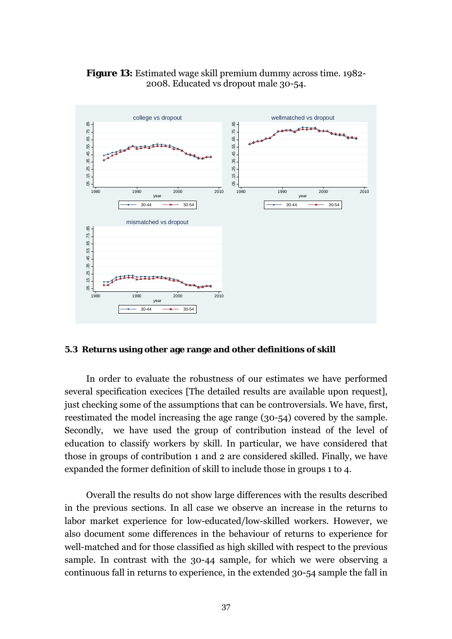

**Figure 13:** Estimated wage skill premium dummy across time. 1982- 2008. Educated vs dropout male 30-54.

## **5.3 Returns using other age range and other definitions of skill**

In order to evaluate the robustness of our estimates we have performed several specification execices [The detailed results are available upon request], just checking some of the assumptions that can be controversials. We have, first, reestimated the model increasing the age range (30-54) covered by the sample. Secondly, we have used the group of contribution instead of the level of education to classify workers by skill. In particular, we have considered that those in groups of contribution 1 and 2 are considered skilled. Finally, we have expanded the former definition of skill to include those in groups 1 to 4.

Overall the results do not show large differences with the results described in the previous sections. In all case we observe an increase in the returns to labor market experience for low-educated/low-skilled workers. However, we also document some differences in the behaviour of returns to experience for well-matched and for those classified as high skilled with respect to the previous sample. In contrast with the 30-44 sample, for which we were observing a continuous fall in returns to experience, in the extended 30-54 sample the fall in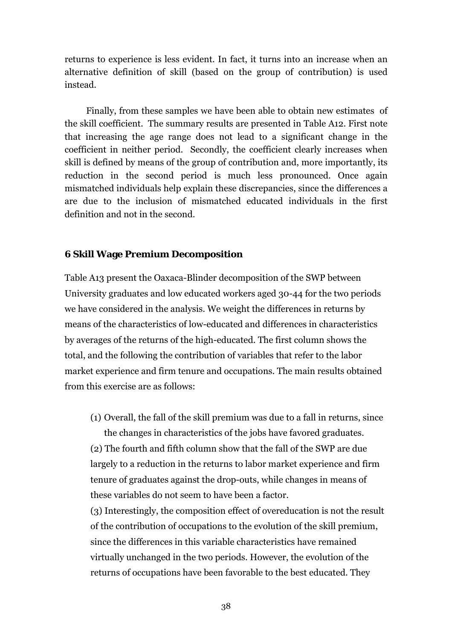returns to experience is less evident. In fact, it turns into an increase when an alternative definition of skill (based on the group of contribution) is used instead.

Finally, from these samples we have been able to obtain new estimates of the skill coefficient. The summary results are presented in Table A12. First note that increasing the age range does not lead to a significant change in the coefficient in neither period. Secondly, the coefficient clearly increases when skill is defined by means of the group of contribution and, more importantly, its reduction in the second period is much less pronounced. Once again mismatched individuals help explain these discrepancies, since the differences a are due to the inclusion of mismatched educated individuals in the first definition and not in the second.

## **6 Skill Wage Premium Decomposition**

Table A13 present the Oaxaca-Blinder decomposition of the SWP between University graduates and low educated workers aged 30-44 for the two periods we have considered in the analysis. We weight the differences in returns by means of the characteristics of low-educated and differences in characteristics by averages of the returns of the high-educated. The first column shows the total, and the following the contribution of variables that refer to the labor market experience and firm tenure and occupations. The main results obtained from this exercise are as follows:

(1) Overall, the fall of the skill premium was due to a fall in returns, since the changes in characteristics of the jobs have favored graduates.

(2) The fourth and fifth column show that the fall of the SWP are due largely to a reduction in the returns to labor market experience and firm tenure of graduates against the drop-outs, while changes in means of these variables do not seem to have been a factor.

(3) Interestingly, the composition effect of overeducation is not the result of the contribution of occupations to the evolution of the skill premium, since the differences in this variable characteristics have remained virtually unchanged in the two periods. However, the evolution of the returns of occupations have been favorable to the best educated. They

38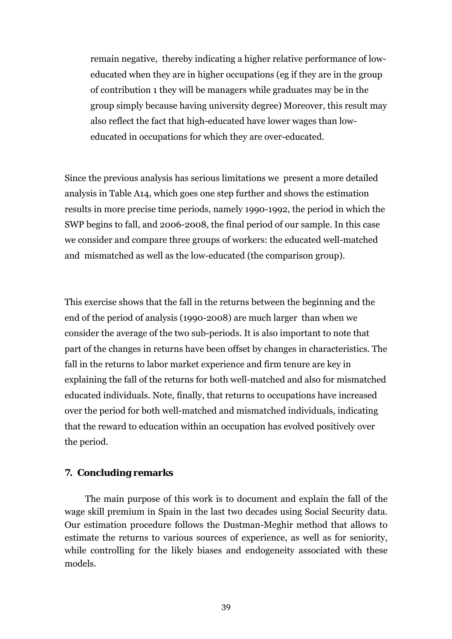remain negative, thereby indicating a higher relative performance of loweducated when they are in higher occupations (eg if they are in the group of contribution 1 they will be managers while graduates may be in the group simply because having university degree) Moreover, this result may also reflect the fact that high-educated have lower wages than loweducated in occupations for which they are over-educated.

Since the previous analysis has serious limitations we present a more detailed analysis in Table A14, which goes one step further and shows the estimation results in more precise time periods, namely 1990-1992, the period in which the SWP begins to fall, and 2006-2008, the final period of our sample. In this case we consider and compare three groups of workers: the educated well-matched and mismatched as well as the low-educated (the comparison group).

This exercise shows that the fall in the returns between the beginning and the end of the period of analysis (1990-2008) are much larger than when we consider the average of the two sub-periods. It is also important to note that part of the changes in returns have been offset by changes in characteristics. The fall in the returns to labor market experience and firm tenure are key in explaining the fall of the returns for both well-matched and also for mismatched educated individuals. Note, finally, that returns to occupations have increased over the period for both well-matched and mismatched individuals, indicating that the reward to education within an occupation has evolved positively over the period.

## **7. Concluding remarks**

The main purpose of this work is to document and explain the fall of the wage skill premium in Spain in the last two decades using Social Security data. Our estimation procedure follows the Dustman-Meghir method that allows to estimate the returns to various sources of experience, as well as for seniority, while controlling for the likely biases and endogeneity associated with these models.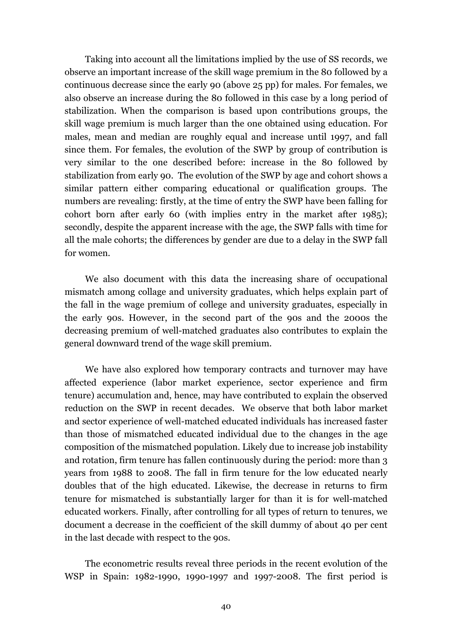Taking into account all the limitations implied by the use of SS records, we observe an important increase of the skill wage premium in the 80 followed by a continuous decrease since the early 90 (above 25 pp) for males. For females, we also observe an increase during the 80 followed in this case by a long period of stabilization. When the comparison is based upon contributions groups, the skill wage premium is much larger than the one obtained using education. For males, mean and median are roughly equal and increase until 1997, and fall since them. For females, the evolution of the SWP by group of contribution is very similar to the one described before: increase in the 80 followed by stabilization from early 90. The evolution of the SWP by age and cohort shows a similar pattern either comparing educational or qualification groups. The numbers are revealing: firstly, at the time of entry the SWP have been falling for cohort born after early 60 (with implies entry in the market after 1985); secondly, despite the apparent increase with the age, the SWP falls with time for all the male cohorts; the differences by gender are due to a delay in the SWP fall for women.

We also document with this data the increasing share of occupational mismatch among collage and university graduates, which helps explain part of the fall in the wage premium of college and university graduates, especially in the early 90s. However, in the second part of the 90s and the 2000s the decreasing premium of well-matched graduates also contributes to explain the general downward trend of the wage skill premium.

We have also explored how temporary contracts and turnover may have affected experience (labor market experience, sector experience and firm tenure) accumulation and, hence, may have contributed to explain the observed reduction on the SWP in recent decades. We observe that both labor market and sector experience of well-matched educated individuals has increased faster than those of mismatched educated individual due to the changes in the age composition of the mismatched population. Likely due to increase job instability and rotation, firm tenure has fallen continuously during the period: more than 3 years from 1988 to 2008. The fall in firm tenure for the low educated nearly doubles that of the high educated. Likewise, the decrease in returns to firm tenure for mismatched is substantially larger for than it is for well-matched educated workers. Finally, after controlling for all types of return to tenures, we document a decrease in the coefficient of the skill dummy of about 40 per cent in the last decade with respect to the 90s.

The econometric results reveal three periods in the recent evolution of the WSP in Spain: 1982-1990, 1990-1997 and 1997-2008. The first period is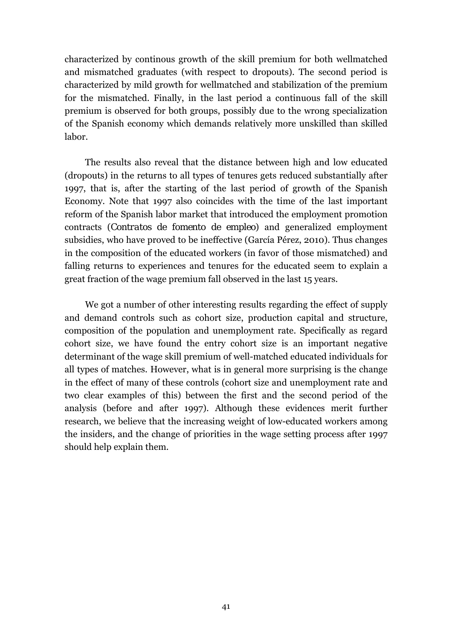characterized by continous growth of the skill premium for both wellmatched and mismatched graduates (with respect to dropouts). The second period is characterized by mild growth for wellmatched and stabilization of the premium for the mismatched. Finally, in the last period a continuous fall of the skill premium is observed for both groups, possibly due to the wrong specialization of the Spanish economy which demands relatively more unskilled than skilled labor.

The results also reveal that the distance between high and low educated (dropouts) in the returns to all types of tenures gets reduced substantially after 1997, that is, after the starting of the last period of growth of the Spanish Economy. Note that 1997 also coincides with the time of the last important reform of the Spanish labor market that introduced the employment promotion contracts (*Contratos de fomento de empleo*) and generalized employment subsidies, who have proved to be ineffective (García Pérez, 2010). Thus changes in the composition of the educated workers (in favor of those mismatched) and falling returns to experiences and tenures for the educated seem to explain a great fraction of the wage premium fall observed in the last 15 years.

We got a number of other interesting results regarding the effect of supply and demand controls such as cohort size, production capital and structure, composition of the population and unemployment rate. Specifically as regard cohort size, we have found the entry cohort size is an important negative determinant of the wage skill premium of well-matched educated individuals for all types of matches. However, what is in general more surprising is the change in the effect of many of these controls (cohort size and unemployment rate and two clear examples of this) between the first and the second period of the analysis (before and after 1997). Although these evidences merit further research, we believe that the increasing weight of low-educated workers among the insiders, and the change of priorities in the wage setting process after 1997 should help explain them.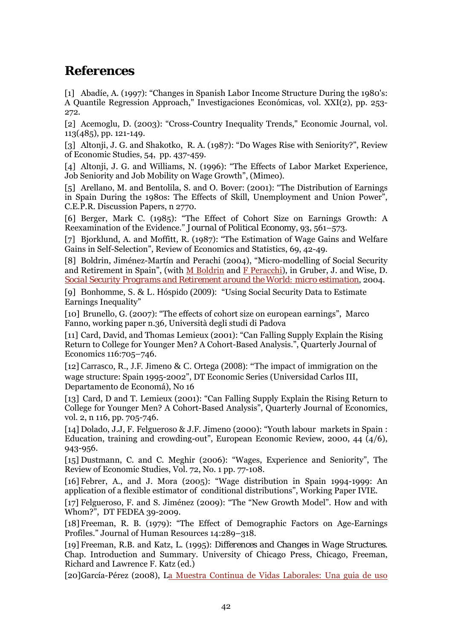# **References**

[1] Abadíe, A. (1997): "Changes in Spanish Labor Income Structure During the 1980's: A Quantile Regression Approach," Investigaciones Económicas, vol. XXI(2), pp. 253- 272.

[2] Acemoglu, D. (2003): "Cross-Country Inequality Trends," Economic Journal, vol. 113(485), pp. 121-149.

[3] Altonji, J. G. and Shakotko, R. A. (1987): "Do Wages Rise with Seniority?", Review of Economic Studies, 54, pp. 437-459.

[4] Altonji, J. G. and Williams, N. (1996): "The Effects of Labor Market Experience, Job Seniority and Job Mobility on Wage Growth", (Mimeo).

[5] Arellano, M. and Bentolila, S. and O. Bover: (2001): "The Distribution of Earnings in Spain During the 1980s: The Effects of Skill, Unemployment and Union Power", C.E.P.R. Discussion Papers, n 2770.

[6] Berger, Mark C. (1985): "The Effect of Cohort Size on Earnings Growth: A Reexamination of the Evidence." *Journal of Political Economy*, 93, 561–573.

[7] Bjorklund, A. and Moffitt, R. (1987): "The Estimation of Wage Gains and Welfare Gains in Self-Selection", Review of Economics and Statistics, 69, 42-49.

[8] Boldrin, Jiménez-Martín and Perachi (2004), "Micro-modelling of Social Security and Retirement in Spain", (with M Boldrin and F Peracchi), in Gruber, J. and Wise, D. *Social Security Programs and Retirement around the World: micro estimation*, 2004.

[9] Bonhomme, S. & L. Hóspido (2009): "Using Social Security Data to Estimate Earnings Inequality"

[10] Brunello, G. (2007): "The effects of cohort size on european earnings", Marco Fanno, working paper n.36*,* Università degli studi di Padova

[11] Card, David, and Thomas Lemieux (2001): "Can Falling Supply Explain the Rising Return to College for Younger Men? A Cohort-Based Analysis.", Quarterly Journal of Economics 116:705–746.

[12] Carrasco, R., J.F. Jimeno & C. Ortega (2008): "The impact of immigration on the wage structure: Spain 1995-2002", DT Economic Series (Universidad Carlos III, Departamento de Economá), No 16

[13] Card, D and T. Lemieux (2001): "Can Falling Supply Explain the Rising Return to College for Younger Men? A Cohort-Based Analysis", Quarterly Journal of Economics, vol. 2, n 116, pp. 705-746.

[14] Dolado, J.J, F. Felgueroso & J.F. Jimeno (2000): "Youth labour markets in Spain : Education, training and crowding-out", European Economic Review, 2000, 44 (4/6), 943-956.

[15] Dustmann, C. and C. Meghir (2006): "Wages, Experience and Seniority", The Review of Economic Studies, Vol. 72, No. 1 pp. 77-108.

[16] Febrer, A., and J. Mora (2005): "Wage distribution in Spain 1994-1999: An application of a flexible estimator of conditional distributions", Working Paper IVIE.

[17] Felgueroso, F. and S. Jiménez (2009): "The "New Growth Model". How and with Whom?", DT FEDEA 39-2009.

[18] Freeman, R. B. (1979): "The Effect of Demographic Factors on Age-Earnings Profiles." Journal of Human Resources 14:289–318.

[19] Freeman, R.B. and Katz, L. (1995): *Differences and Changes in Wage Structures*. Chap. Introduction and Summary. University of Chicago Press, Chicago, Freeman, Richard and Lawrence F. Katz (ed.)

[20]García-Pérez (2008), La Muestra Continua de Vidas Laborales: Una guia de uso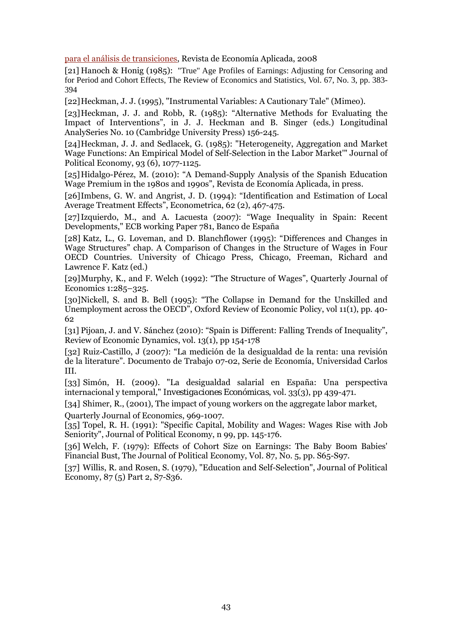para el análisis de transiciones, Revista de Economía Aplicada, 2008

[21] Hanoch & Honig (1985): "True" Age Profiles of Earnings: Adjusting for Censoring and for Period and Cohort Effects, The Review of Economics and Statistics, Vol. 67, No. 3, pp. 383- 394

[22]Heckman, J. J. (1995), "Instrumental Variables: A Cautionary Tale" (Mimeo).

[23]Heckman, J. J. and Robb, R. (1985): "Alternative Methods for Evaluating the Impact of Interventions", in J. J. Heckman and B. Singer (eds.) Longitudinal AnalySeries No. 10 (Cambridge University Press) 156-245.

[24]Heckman, J. J. and Sedlacek, G. (1985): "Heterogeneity, Aggregation and Market Wage Functions: An Empirical Model of Self-Selection in the Labor Market'" Journal of Political Economy, 93 (6), 1077-1125.

[25]Hidalgo-Pérez, M. (2010): "A Demand-Supply Analysis of the Spanish Education Wage Premium in the 1980s and 1990s", Revista de Economía Aplicada, in press.

[26]Imbens, G. W. and Angrist, J. D. (1994): "Identification and Estimation of Local Average Treatment Effects", Econometrica, 62 (2), 467-475.

[27]Izquierdo, M., and A. Lacuesta (2007): "Wage Inequality in Spain: Recent Developments," ECB working Paper 781, Banco de España

[28] Katz, L., G. Loveman, and D. Blanchflower (1995): "Differences and Changes in Wage Structures" chap. A Comparison of Changes in the Structure of Wages in Four OECD Countries. University of Chicago Press, Chicago, Freeman, Richard and Lawrence F. Katz (ed.)

[29]Murphy, K., and F. Welch (1992): "The Structure of Wages", Quarterly Journal of Economics 1:285–325.

[30]Nickell, S. and B. Bell (1995): "The Collapse in Demand for the Unskilled and Unemployment across the OECD", Oxford Review of Economic Policy, vol 11(1), pp. 40- 62

[31] Pijoan, J. and V. Sánchez (2010): "Spain is Different: Falling Trends of Inequality", Review of Economic Dynamics, vol. 13(1), pp 154-178

[32] Ruiz-Castillo, J (2007): "La medición de la desigualdad de la renta: una revisión de la literature". Documento de Trabajo 07-02, Serie de Economía, Universidad Carlos III.

[33] Simón, H. (2009). "La desigualdad salarial en España: Una perspectiva internacional y temporal," *Investigaciones Económicas*, vol. 33(3), pp 439-471.

[34] Shimer, R., (2001), The impact of young workers on the aggregate labor market, Quarterly Journal of Economics, 969-1007.

[35] Topel, R. H. (1991): "Specific Capital, Mobility and Wages: Wages Rise with Job Seniority", Journal of Political Economy, n 99, pp. 145-176.

[36] Welch, F. (1979): Effects of Cohort Size on Earnings: The Baby Boom Babies' Financial Bust, The Journal of Political Economy, Vol. 87, No. 5, pp. S65-S97.

[37] Willis, R. and Rosen, S. (1979), "Education and Self-Selection", Journal of Political Economy, 87 (5) Part 2, S7-S36.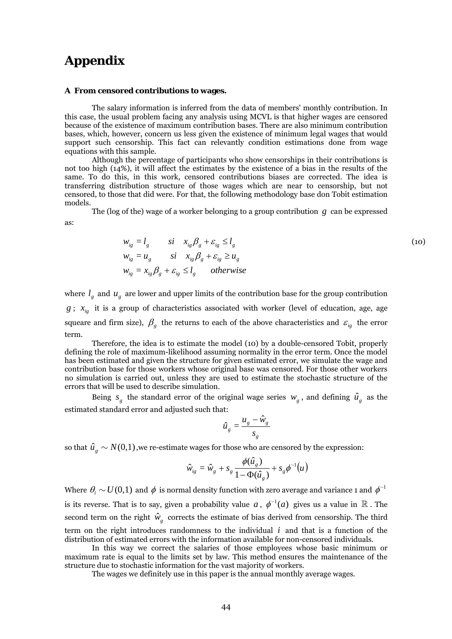# **Appendix**

#### **A From censored contributions to wages.**

The salary information is inferred from the data of members' monthly contribution. In this case, the usual problem facing any analysis using MCVL is that higher wages are censored because of the existence of maximum contribution bases. There are also minimum contribution bases, which, however, concern us less given the existence of minimum legal wages that would support such censorship. This fact can relevantly condition estimations done from wage equations with this sample.

Although the percentage of participants who show censorships in their contributions is not too high (14%), it will affect the estimates by the existence of a bias in the results of the same. To do this, in this work, censored contributions biases are corrected. The idea is transferring distribution structure of those wages which are near to censorship, but not censored, to those that did were. For that, the following methodology base don Tobit estimation models.

The (log of the) wage of a worker belonging to a group contribution *g* can be expressed as:

$$
w_{ig} = l_g \t si \t x_{ig} \beta_g + \varepsilon_{ig} \le l_g
$$
  
\n
$$
w_{ig} = u_g \t si \t x_{ig} \beta_g + \varepsilon_{ig} \ge u_g
$$
  
\n
$$
w_{ig} = x_{ig} \beta_g + \varepsilon_{ig} \le l_g \t otherwise
$$
\n(10)

where  $l_g$  and  $u_g$  are lower and upper limits of the contribution base for the group contribution  $g$ ;  $x_{i}$  it is a group of characteristics associated with worker (level of education, age, age squeare and firm size),  $\beta_g$  the returns to each of the above characteristics and  $\varepsilon_{ig}$  the error term.

Therefore, the idea is to estimate the model (10) by a double-censored Tobit, properly defining the role of maximum-likelihood assuming normality in the error term. Once the model has been estimated and given the structure for given estimated error, we simulate the wage and contribution base for those workers whose original base was censored. For those other workers no simulation is carried out, unless they are used to estimate the stochastic structure of the errors that will be used to describe simulation.

Being  $s_g$  the standard error of the original wage series  $w_g$ , and defining  $\hat{u}_g$  as the estimated standard error and adjusted such that:

$$
\hat{u}_g = \frac{u_g - \hat{w}_g}{s_g}
$$

so that  $\hat{u}_{\varepsilon} \sim N(0,1)$ , we re-estimate wages for those who are censored by the expression:

$$
\hat{w}_{ig} = \hat{w}_g + s_g \frac{\phi(\hat{u}_g)}{1 - \Phi(\hat{u}_g)} + s_g \phi^{-1}(u)
$$

Where  $\theta_i \sim U(0,1)$  and  $\phi$  is normal density function with zero average and variance 1 and  $\phi^{-1}$ is its reverse. That is to say, given a probability value *a*,  $\phi^{-1}(a)$  gives us a value in  $\mathbb R$ . The second term on the right  $\hat{w}_g$  corrects the estimate of bias derived from censorship. The third term on the right introduces randomness to the individual  $i$  and that is a function of the distribution of estimated errors with the information available for non-censored individuals.

In this way we correct the salaries of those employees whose basic minimum or maximum rate is equal to the limits set by law. This method ensures the maintenance of the structure due to stochastic information for the vast majority of workers.

The wages we definitely use in this paper is the annual monthly average wages.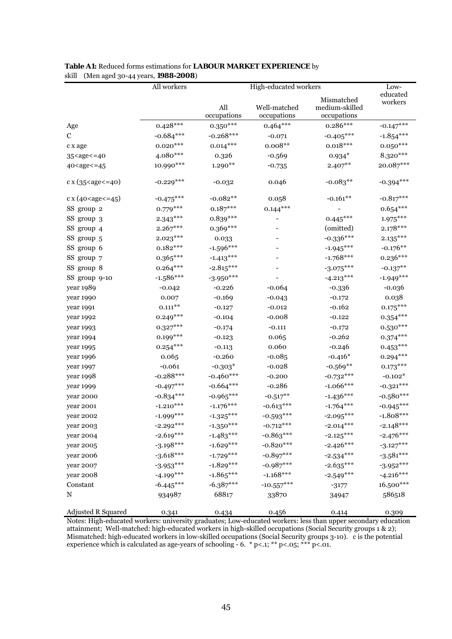|                                                                                                                                                           | All workers  |             | High-educated workers    |                | Low-        |
|-----------------------------------------------------------------------------------------------------------------------------------------------------------|--------------|-------------|--------------------------|----------------|-------------|
|                                                                                                                                                           |              |             |                          | Mismatched     | educated    |
|                                                                                                                                                           |              | All         | Well-matched             | medium-skilled | workers     |
|                                                                                                                                                           |              | occupations | occupations              | occupations    |             |
| Age                                                                                                                                                       | $0.428***$   | $0.350***$  | $0.464***$               | $0.286***$     | $-0.147***$ |
| C                                                                                                                                                         | $-0.684***$  | $-0.268***$ | $-0.071$                 | $-0.405***$    | $-1.854***$ |
| c x age                                                                                                                                                   | $0.020***$   | $0.014***$  | $0.008**$                | $0.018***$     | $0.050***$  |
| 35 <age<=40< td=""><td>4.080***</td><td>0.326</td><td><math>-0.569</math></td><td><math>0.934*</math></td><td>8.320***</td></age<=40<>                    | 4.080***     | 0.326       | $-0.569$                 | $0.934*$       | 8.320***    |
| 40 <age<=45< td=""><td>10.990***</td><td><math>1.290**</math></td><td><math>-0.735</math></td><td><math>2.407***</math></td><td>20.087***</td></age<=45<> | 10.990***    | $1.290**$   | $-0.735$                 | $2.407***$     | 20.087***   |
| $c \times (35 < a$ ge $\leq 40)$                                                                                                                          | $-0.229***$  | $-0.032$    | 0.046                    | $-0.083**$     | $-0.394***$ |
| c x $(40 <$ age $\le$ = 45)                                                                                                                               | $-0.475***$  | $-0.082**$  | 0.058                    | $-0.161**$     | $-0.817***$ |
| SS group 2                                                                                                                                                | $0.779***$   | $0.187***$  | $0.144***$               |                | $0.654***$  |
| SS group 3                                                                                                                                                | $2.343***$   | $0.839***$  | $\overline{\phantom{0}}$ | $0.445***$     | $1.975***$  |
| SS group 4                                                                                                                                                | $2.267***$   | $0.369***$  |                          | (omitted)      | $2.178***$  |
| SS group 5                                                                                                                                                | $2.023***$   | 0.033       |                          | $-0.336***$    | $2.135***$  |
| SS group 6                                                                                                                                                | $0.182***$   | $-1.596***$ |                          | $-1.945***$    | $-0.176**$  |
| SS group 7                                                                                                                                                | $0.365***$   | $-1.413***$ |                          | $-1.768***$    | $0.236***$  |
| SS group 8                                                                                                                                                | $0.264***$   | $-2.815***$ |                          | $-3.075***$    | $-0.137***$ |
| SS group 9-10                                                                                                                                             | $-1.586***$  | $-3.950***$ |                          | $-4.213***$    | $-1.949***$ |
| year 1989                                                                                                                                                 | $-0.042$     | $-0.226$    | $-0.064$                 | $-0.336$       | $-0.036$    |
| year 1990                                                                                                                                                 | 0.007        | $-0.169$    | $-0.043$                 | $-0.172$       | 0.038       |
| year 1991                                                                                                                                                 | $0.111***$   | $-0.127$    | $-0.012$                 | $-0.162$       | $0.175***$  |
| year 1992                                                                                                                                                 | $0.249***$   | $-0.104$    | $-0.008$                 | $-0.122$       | $0.354***$  |
| year 1993                                                                                                                                                 | $0.327***$   | $-0.174$    | $-0.111$                 | $-0.172$       | $0.530***$  |
| year 1994                                                                                                                                                 | $0.199***$   | $-0.123$    | 0.065                    | $-0.262$       | $0.374***$  |
| year 1995                                                                                                                                                 | $0.254***$   | $-0.113$    | 0.060                    | $-0.246$       | $0.453***$  |
| year 1996                                                                                                                                                 | 0.065        | $-0.260$    | $-0.085$                 | $-0.416*$      | $0.294***$  |
| year 1997                                                                                                                                                 | $-0.061$     | $-0.303*$   | $-0.028$                 | $-0.569**$     | $0.173***$  |
| year 1998                                                                                                                                                 | $-0.288***$  | $-0.460***$ | $-0.200$                 | $-0.732***$    | $-0.102*$   |
| year 1999                                                                                                                                                 | $-0.497***$  | $-0.664***$ | $-0.286$                 | $-1.066***$    | $-0.321***$ |
| year 2000                                                                                                                                                 | $-0.834***$  | $-0.965***$ | $-0.517***$              | $-1.436***$    | $-0.580***$ |
| year 2001                                                                                                                                                 | $-1.210***$  | $-1.176***$ | $-0.613***$              | $-1.764***$    | $-0.945***$ |
| year 2002                                                                                                                                                 | $-1.999$ *** | $-1.325***$ | $-0.593***$              | $-2.095***$    | $-1.808***$ |
| year 2003                                                                                                                                                 | $-2.292***$  | $-1.350***$ | $-0.712***$              | $-2.014***$    | $-2.148***$ |
| year 2004                                                                                                                                                 | $-2.619***$  | $-1.483***$ | $-0.863***$              | $-2.125***$    | $-2.476***$ |
| year 2005                                                                                                                                                 | $-3.198***$  | $-1.629***$ | $-0.820***$              | $-2.426***$    | $-3.127***$ |
| year 2006                                                                                                                                                 | $-3.618***$  | $-1.729***$ | $-0.897***$              | $-2.534***$    | $-3.581***$ |
| year 2007                                                                                                                                                 | $-3.953***$  | $-1.829***$ | $-0.987***$              | $-2.635***$    | $-3.952***$ |
| year 2008                                                                                                                                                 | $-4.199***$  | $-1.865***$ | $-1.168***$              | $-2.549***$    | $-4.216***$ |
| Constant                                                                                                                                                  | $-6.445***$  | $-6.387***$ | $-10.557***$             | $-3177$        | 16.500***   |
| N                                                                                                                                                         | 934987       | 68817       | 33870                    | 34947          | 586518      |
| Adjusted R Squared                                                                                                                                        | 0.341        | 0.434       | 0.456                    | 0.414          | 0.309       |

#### **Table A1:** Reduced forms estimations for **LABOUR MARKET EXPERIENCE** by skill (Men aged 30-44 years, **1988-2008**)

Notes: High-educated workers: university graduates; Low-educated workers: less than upper secondary education attainment; Well-matched: high-educated workers in high-skilled occupations (Social Security groups 1 & 2); Mismatched: high-educated workers in low-skilled occupations (Social Security groups 3-10). c is the potential experience which is calculated as age-years of schooling  $-6.$  \*  $p<.1$ ; \*\*  $p<.05$ ; \*\*\*  $p<.01$ .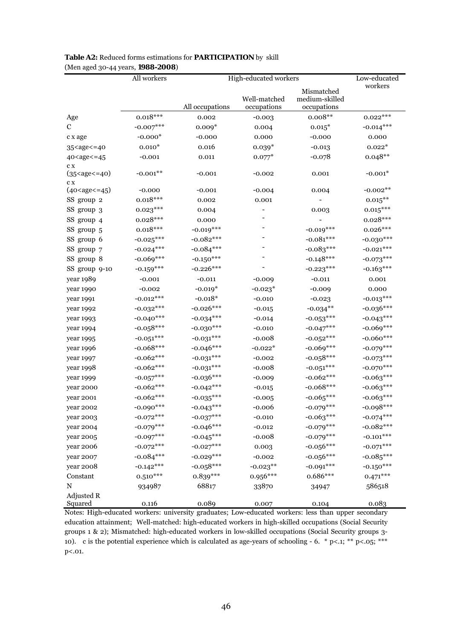|                                                                                                                                                               | All workers                | High-educated workers      |              | Low-educated                 |                            |
|---------------------------------------------------------------------------------------------------------------------------------------------------------------|----------------------------|----------------------------|--------------|------------------------------|----------------------------|
|                                                                                                                                                               |                            |                            |              |                              | workers                    |
|                                                                                                                                                               |                            |                            | Well-matched | Mismatched<br>medium-skilled |                            |
|                                                                                                                                                               |                            | All occupations            | occupations  | occupations                  |                            |
| Age                                                                                                                                                           | $0.018***$                 | 0.002                      | $-0.003$     | $0.008**$                    | $0.022***$                 |
| C                                                                                                                                                             | $-0.007***$                | $0.009*$                   | 0.004        | $0.015*$                     | $-0.014***$                |
| c x age                                                                                                                                                       | $-0.000*$                  | $-0.000$                   | 0.000        | $-0.000$                     | 0.000                      |
| 35 <age<=40< td=""><td><math>0.010*</math></td><td>0.016</td><td><math>0.039*</math></td><td><math>-0.013</math></td><td><math>0.022*</math></td></age<=40<>  | $0.010*$                   | 0.016                      | $0.039*$     | $-0.013$                     | $0.022*$                   |
| 40 <age<=45< td=""><td><math>-0.001</math></td><td>0.011</td><td><math>0.077*</math></td><td><math>-0.078</math></td><td><math>0.048**</math></td></age<=45<> | $-0.001$                   | 0.011                      | $0.077*$     | $-0.078$                     | $0.048**$                  |
| c x                                                                                                                                                           |                            |                            |              |                              |                            |
| $(35 < a$ ge $< = 40)$                                                                                                                                        | $-0.001**$                 | $-0.001$                   | $-0.002$     | 0.001                        | $-0.001*$                  |
| c x<br>(40 < age < 45)                                                                                                                                        | $-0.000$                   | $-0.001$                   | $-0.004$     | 0.004                        | $-0.002**$                 |
| SS group 2                                                                                                                                                    | $0.018***$                 | 0.002                      | 0.001        |                              | $0.015***$                 |
| SS group 3                                                                                                                                                    | $0.023***$                 | 0.004                      |              | 0.003                        | $0.015***$                 |
| SS group 4                                                                                                                                                    | $0.028***$                 | 0.000                      |              |                              | $0.028***$                 |
| SS group 5                                                                                                                                                    | $0.018***$                 | $-0.019***$                |              | $-0.019***$                  | $0.026***$                 |
|                                                                                                                                                               |                            | $-0.082***$                |              | $-0.081***$                  |                            |
| SS group 6                                                                                                                                                    | $-0.025***$                | $-0.084***$                |              |                              | $-0.030***$<br>$-0.021***$ |
| SS group 7<br>SS group 8                                                                                                                                      | $-0.024***$<br>$-0.069***$ |                            |              | $-0.083***$<br>$-0.148***$   |                            |
|                                                                                                                                                               |                            | $-0.150***$<br>$-0.226***$ |              |                              | $-0.073***$                |
| SS group 9-10                                                                                                                                                 | $-0.159***$                |                            |              | $-0.223***$                  | $-0.163***$                |
| year 1989                                                                                                                                                     | $-0.001$                   | $-0.011$                   | $-0.009$     | $-0.011$                     | 0.001                      |
| year 1990                                                                                                                                                     | $-0.002$                   | $-0.019*$                  | $-0.023*$    | $-0.009$                     | 0.000                      |
| year 1991                                                                                                                                                     | $-0.012***$                | $\textnormal{-0.018}^*$    | $-0.010$     | $-0.023$                     | $-0.013***$                |
| year 1992                                                                                                                                                     | $-0.032***$                | $-0.026***$                | $-0.015$     | $-0.034**$                   | $-0.036***$                |
| year 1993                                                                                                                                                     | $-0.040***$                | $-0.034***$                | $-0.014$     | $-0.053***$                  | $-0.043***$                |
| year 1994                                                                                                                                                     | $-0.058***$                | $-0.030***$                | $-0.010$     | $-0.047***$                  | $-0.069***$                |
| year 1995                                                                                                                                                     | $-0.051***$                | $-0.031***$                | $-0.008$     | $-0.052***$                  | $-0.060***$                |
| year 1996                                                                                                                                                     | $-0.068***$                | $-0.046***$                | $-0.022*$    | $-0.069***$                  | $-0.079***$                |
| year 1997                                                                                                                                                     | $-0.062***$                | $-0.031***$                | $-0.002$     | $-0.058***$                  | $-0.073***$                |
| year 1998                                                                                                                                                     | $-0.062***$                | $-0.031***$                | $-0.008$     | $-0.051***$                  | $-0.070***$                |
| year 1999                                                                                                                                                     | $-0.057***$                | $-0.036***$                | $-0.009$     | $-0.062***$                  | $-0.063***$                |
| year 2000                                                                                                                                                     | $-0.062***$                | $-0.042***$                | $-0.015$     | $-0.068***$                  | $-0.063***$                |
| year 2001                                                                                                                                                     | $-0.062***$                | $-0.035***$                | $-0.005$     | $-0.065***$                  | $-0.063***$                |
| year 2002                                                                                                                                                     | $-0.090***$                | $-0.043***$                | $-0.006$     | $-0.079***$                  | $-0.098***$                |
| year 2003                                                                                                                                                     | $-0.072***$                | $-0.037***$                | $-0.010$     | $-0.063***$                  | $-0.074***$                |
| year 2004                                                                                                                                                     | $-0.079***$                | $-0.046***$                | $-0.012$     | $-0.079***$                  | $-0.082***$                |
| year 2005                                                                                                                                                     | $-0.097***$                | $-0.045***$                | $-0.008$     | $-0.079***$                  | $-0.101***$                |
| year 2006                                                                                                                                                     | $-0.072***$                | $-0.027***$                | 0.003        | $-0.056***$                  | $-0.071***$                |
| year 2007                                                                                                                                                     | $-0.084***$                | $-0.029***$                | $-0.002$     | $-0.056***$                  | $-0.085***$                |
| year 2008                                                                                                                                                     | $-0.142***$                | $-0.058***$                | $-0.023**$   | $-0.091***$                  | $-0.150***$                |
| Constant                                                                                                                                                      | $0.510***$                 | $0.839***$                 | $0.956***$   | $0.686***$                   | $0.471***$                 |
| N                                                                                                                                                             | 934987                     | 68817                      | 33870        | 34947                        | 586518                     |
| <b>Adjusted R</b>                                                                                                                                             |                            |                            |              |                              |                            |
| Squared                                                                                                                                                       | 0.116                      | 0.089                      | 0.007        | 0.104                        | 0.083                      |

### **Table A2:** Reduced forms estimations for **PARTICIPATION** by skill (Men aged 30-44 years, **1988-2008**)

Notes: High-educated workers: university graduates; Low-educated workers: less than upper secondary education attainment; Well-matched: high-educated workers in high-skilled occupations (Social Security groups 1 & 2); Mismatched: high-educated workers in low-skilled occupations (Social Security groups 3- 10). c is the potential experience which is calculated as age-years of schooling - 6. \* p<.1; \*\* p<.05; \*\*\* p<.01.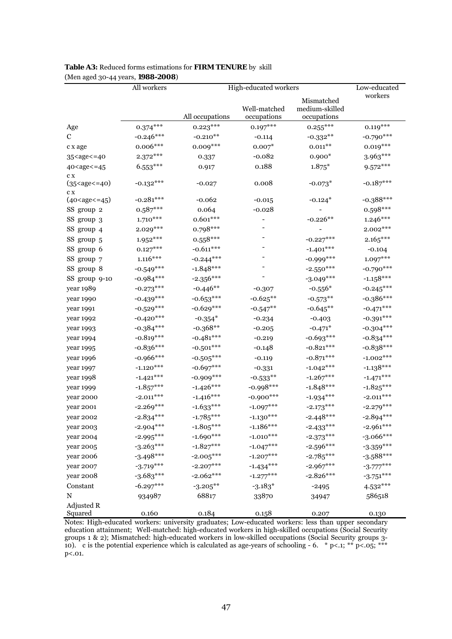|                                                                                                                                                     | All workers |                 | High-educated workers        |                                             | Low-educated |
|-----------------------------------------------------------------------------------------------------------------------------------------------------|-------------|-----------------|------------------------------|---------------------------------------------|--------------|
|                                                                                                                                                     |             | All occupations | Well-matched<br>occupations  | Mismatched<br>medium-skilled<br>occupations | workers      |
| Age                                                                                                                                                 | $0.374***$  | $0.223***$      | $0.197***$                   | $0.255***$                                  | $0.119***$   |
| $\mathbf C$                                                                                                                                         | $-0.246***$ | $-0.210**$      | $-0.114$                     | $-0.332**$                                  | $-0.790***$  |
| c x age                                                                                                                                             | $0.006***$  | $0.009***$      | $0.007*$                     | $0.011**$                                   | $0.019***$   |
| 35 <age<=40< td=""><td><math>2.372***</math></td><td>0.337</td><td><math>-0.082</math></td><td><math>0.900*</math></td><td>3.963***</td></age<=40<> | $2.372***$  | 0.337           | $-0.082$                     | $0.900*$                                    | 3.963***     |
| 40 <age<=45< td=""><td><math>6.553***</math></td><td>0.917</td><td>0.188</td><td><math>1.875*</math></td><td><math>9.572***</math></td></age<=45<>  | $6.553***$  | 0.917           | 0.188                        | $1.875*$                                    | $9.572***$   |
| C X<br>$(35 < a$ ge $< = 40)$<br>C X                                                                                                                | $-0.132***$ | $-0.027$        | 0.008                        | $-0.073*$                                   | $-0.187***$  |
| $(40 < \text{age} < = 45)$                                                                                                                          | $-0.281***$ | $-0.062$        | $-0.015$                     | $-0.124*$                                   | $-0.388***$  |
| SS group 2                                                                                                                                          | $0.587***$  | 0.064           | -0.028                       |                                             | $0.598***$   |
| SS group 3                                                                                                                                          | $1.710***$  | $0.601***$      | $\qquad \qquad \blacksquare$ | $-0.226**$                                  | $1.246***$   |
| SS group 4                                                                                                                                          | $2.029***$  | $0.798***$      |                              |                                             | $2.002***$   |
| SS group 5                                                                                                                                          | $1.952***$  | $0.558***$      |                              | $-0.227***$                                 | $2.165***$   |
| SS group 6                                                                                                                                          | $0.127***$  | $-0.611***$     |                              | $-1.401***$                                 | $-0.104$     |
| SS group 7                                                                                                                                          | $1.116***$  | $-0.244***$     |                              | $-0.999$ ***                                | $1.097***$   |
| SS group 8                                                                                                                                          | $-0.549***$ | $-1.848***$     |                              | $-2.550***$                                 | $-0.790***$  |
| SS group 9-10                                                                                                                                       | $-0.984***$ | $-2.356***$     |                              | $-3.049***$                                 | $-1.158***$  |
| year 1989                                                                                                                                           | $-0.273***$ | $-0.446**$      | $-0.307$                     | $-0.556*$                                   | $-0.245***$  |
| year 1990                                                                                                                                           | $-0.439***$ | $-0.653***$     | $-0.625**$                   | $-0.573**$                                  | $-0.386***$  |
| year 1991                                                                                                                                           | $-0.529***$ | $-0.629***$     | $-0.547**$                   | $-0.645**$                                  | $-0.471***$  |
| year 1992                                                                                                                                           | $-0.420***$ | $-0.354*$       | $-0.234$                     | $-0.403$                                    | $-0.391***$  |
| year 1993                                                                                                                                           | $-0.384***$ | $-0.368**$      | $-0.205$                     | $-0.471*$                                   | $-0.304***$  |
| year 1994                                                                                                                                           | $-0.819***$ | $-0.481***$     | $-0.219$                     | $-0.693***$                                 | $-0.834***$  |
| year 1995                                                                                                                                           | $-0.836***$ | $-0.501***$     | $-0.148$                     | $-0.821***$                                 | $-0.838***$  |
| year 1996                                                                                                                                           | $-0.966***$ | $-0.505***$     | $-0.119$                     | $-0.871***$                                 | $-1.002***$  |
| year 1997                                                                                                                                           | $-1.120***$ | $-0.697***$     | $-0.331$                     | $-1.042***$                                 | $-1.138***$  |
| year 1998                                                                                                                                           | $-1.421***$ | $-0.909***$     | $-0.533**$                   | $-1.267***$                                 | $-1.471***$  |
| year 1999                                                                                                                                           | $-1.857***$ | $-1.426***$     | $-0.998***$                  | $-1.848***$                                 | $-1.825***$  |
| year 2000                                                                                                                                           | $-2.011***$ | $-1.416***$     | $-0.900***$                  | $-1.934***$                                 | $-2.011***$  |
| year 2001                                                                                                                                           | $-2.269***$ | $-1.633***$     | $-1.097***$                  | $-2.173***$                                 | $-2.279***$  |
| year 2002                                                                                                                                           | $-2.834***$ | $-1.785***$     | $-1.130***$                  | $-2.448***$                                 | $-2.894***$  |
| year 2003                                                                                                                                           | $-2.904***$ | $-1.805***$     | $-1.186***$                  | $-2.433***$                                 | $-2.961***$  |
| year 2004                                                                                                                                           | $-2.995***$ | $-1.690***$     | $-1.010***$                  | $-2.373***$                                 | $-3.066***$  |
| year 2005                                                                                                                                           | $-3.263***$ | $-1.827***$     | $-1.047***$                  | $-2.596***$                                 | $-3.359***$  |
| year 2006                                                                                                                                           | $-3.498***$ | $-2.005***$     | $-1.207***$                  | $-2.785***$                                 | $-3.588***$  |
| year 2007                                                                                                                                           | $-3.719***$ | $-2.207***$     | $-1.434***$                  | $-2.967***$                                 | $-3.777***$  |
| year 2008                                                                                                                                           | $-3.683***$ | $-2.062***$     | $-1.277***$                  | $-2.826***$                                 | $-3.751***$  |
| Constant                                                                                                                                            | $-6.297***$ | $-3.205***$     | $-3.183*$                    | $-2495$                                     | $4.532***$   |
| N                                                                                                                                                   | 934987      | 68817           | 33870                        | 34947                                       | 586518       |
| Adjusted R<br>Squared                                                                                                                               | 0.160       | 0.184           | 0.158                        | 0.207                                       | 0.130        |

#### **Table A3:** Reduced forms estimations for **FIRM TENURE** by skill (Men aged 30-44 years, **1988-2008**)

Notes: High-educated workers: university graduates; Low-educated workers: less than upper secondary education attainment; Well-matched: high-educated workers in high-skilled occupations (Social Security groups 1 & 2); Mismatched: high-educated workers in low-skilled occupations (Social Security groups 3- 10). c is the potential experience which is calculated as age-years of schooling - 6. \* p<.1; \*\* p<.05; \*\*\* p<.01.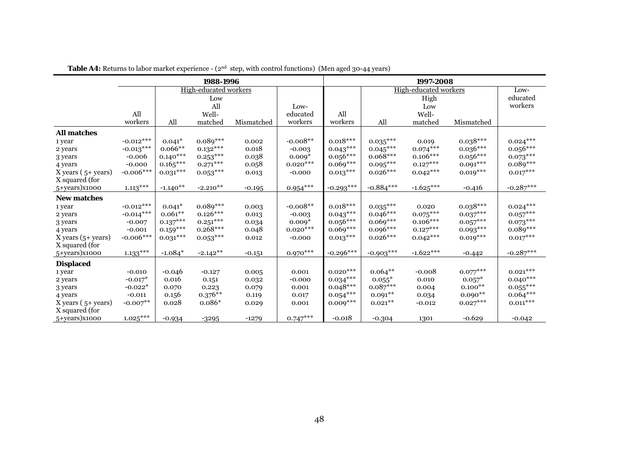|                         | 1988-1996   |               |                       |            |            |             | 1997-2008   |                       |            |               |
|-------------------------|-------------|---------------|-----------------------|------------|------------|-------------|-------------|-----------------------|------------|---------------|
|                         |             |               | High-educated workers |            |            |             |             | High-educated workers |            | Low-          |
|                         |             |               | Low                   |            |            |             |             | High                  |            | educated      |
|                         |             |               | All                   |            | Low-       |             |             | Low                   |            | workers       |
|                         | All         |               | Well-                 |            | educated   | All         |             | Well-                 |            |               |
|                         | workers     | All           | matched               | Mismatched | workers    | workers     | All         | matched               | Mismatched |               |
| <b>All matches</b>      |             |               |                       |            |            |             |             |                       |            |               |
| 1 year                  | $-0.012***$ | $0.041*$      | $0.089***$            | 0.002      | $-0.008**$ | $0.018***$  | $0.035***$  | 0.019                 | $0.038***$ | $0.024***$    |
| 2 years                 | $-0.013***$ | $0.066**$     | $0.132***$            | 0.018      | $-0.003$   | $0.043***$  | $0.045***$  | $0.074***$            | $0.036***$ | $0.056***$    |
| 3 years                 | $-0.006$    | $0.140***$    | $0.253***$            | 0.038      | $0.009*$   | $0.056***$  | $0.068***$  | $0.106***$            | $0.056***$ | $0.073***$    |
| 4 years                 | $-0.000$    | $0.165***$    | $0.271***$            | 0.058      | $0.020***$ | $0.069***$  | $0.095***$  | $0.127***$            | $0.091***$ | $0.089***$    |
| $X$ years ( $5+$ years) | $-0.006***$ | $0.031^{***}$ | $0.053***$            | 0.013      | $-0.000$   | $0.013***$  | $0.026***$  | $0.042***$            | $0.019***$ | $0.017***$    |
| X squared (for          |             |               |                       |            |            |             |             |                       |            |               |
| 5+years)x1000           | $1.113***$  | $-1.140**$    | $-2.210**$            | $-0.195$   | $0.954***$ | $-0.293***$ | $-0.884***$ | $-1.625***$           | $-0.416$   | $-0.287***$   |
| <b>New matches</b>      |             |               |                       |            |            |             |             |                       |            |               |
| 1 year                  | $-0.012***$ | $0.041*$      | $0.089***$            | 0.003      | $-0.008**$ | $0.018***$  | $0.035***$  | 0.020                 | $0.038***$ | $0.024***$    |
| 2 years                 | $-0.014***$ | $0.061**$     | $0.126***$            | 0.013      | $-0.003$   | $0.043***$  | $0.046***$  | $0.075***$            | $0.037***$ | $0.057***$    |
| 3 years                 | $-0.007$    | $0.137***$    | $0.251^{***}$         | 0.034      | $0.009*$   | $0.056***$  | $0.069***$  | $0.106***$            | $0.057***$ | $0.073***$    |
| 4 years                 | $-0.001$    | $0.159***$    | $0.268***$            | 0.048      | $0.020***$ | $0.069***$  | $0.096***$  | $0.127***$            | $0.093***$ | $0.089***$    |
| $X$ years $(5+$ years)  | $-0.006***$ | $0.031***$    | $0.053***$            | 0.012      | $-0.000$   | $0.013***$  | $0.026***$  | $0.042***$            | $0.019***$ | $0.017***$    |
| X squared (for          |             |               |                       |            |            |             |             |                       |            |               |
| 5+years)x1000           | $1.133***$  | $-1.084*$     | $-2.142**$            | $-0.151$   | $0.970***$ | $-0.296***$ | $-0.903***$ | $-1.622***$           | $-0.442$   | $-0.287***$   |
| <b>Displaced</b>        |             |               |                       |            |            |             |             |                       |            |               |
| 1 year                  | $-0.010$    | $-0.046$      | $-0.127$              | 0.005      | 0.001      | $0.020***$  | $0.064***$  | $-0.008$              | $0.077***$ | $0.021^{***}$ |
| 2 years                 | $-0.017*$   | 0.016         | 0.151                 | 0.032      | $-0.000$   | $0.034***$  | $0.055*$    | 0.010                 | $0.057*$   | $0.040***$    |
| 3 years                 | $-0.022*$   | 0.070         | 0.223                 | 0.079      | 0.001      | $0.048***$  | $0.087***$  | 0.004                 | $0.100**$  | $0.055***$    |
| 4 years                 | $-0.011$    | 0.156         | $0.376**$             | 0.119      | 0.017      | $0.054***$  | $0.091**$   | 0.034                 | $0.090**$  | $0.064***$    |
| X years $(5+ years)$    | $-0.007$ ** | 0.028         | $0.086*$              | 0.029      | 0.001      | $0.009***$  | $0.021***$  | $-0.012$              | $0.027***$ | $0.011***$    |
| X squared (for          |             |               |                       |            |            |             |             |                       |            |               |
| 5+years)x1000           | $1.025***$  | $-0.934$      | $-3295$               | $-1279$    | $0.747***$ | $-0.018$    | $-0.304$    | 1301                  | $-0.629$   | $-0.042$      |

**Table A4:** Returns to labor market experience - (2<sup>nd</sup> step, with control functions) (Men aged 30-44 years)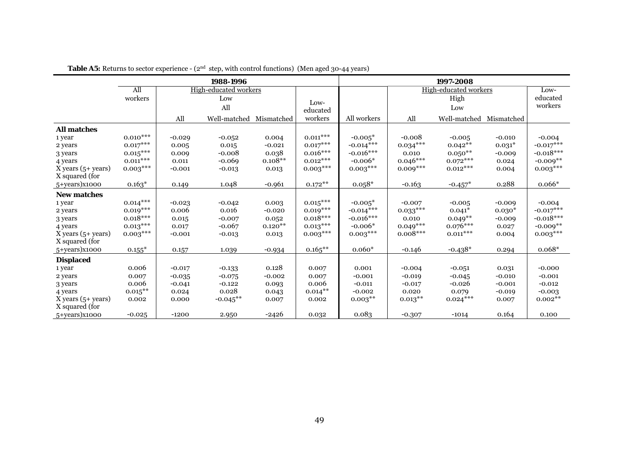|                        | 1988-1996     |          |                       |            |                        |             | 1997-2008  |                       |            |             |
|------------------------|---------------|----------|-----------------------|------------|------------------------|-------------|------------|-----------------------|------------|-------------|
|                        | All           |          | High-educated workers |            |                        |             |            | High-educated workers |            | Low-        |
|                        | workers       |          | Low                   |            |                        |             |            | High                  |            | educated    |
|                        |               |          | All                   |            | $Low-$<br>educated     |             |            | Low                   |            | workers     |
|                        |               | All      | Well-matched          | Mismatched | workers                | All workers | All        | Well-matched          | Mismatched |             |
| <b>All matches</b>     |               |          |                       |            |                        |             |            |                       |            |             |
| 1 year                 | $0.010^{***}$ | $-0.029$ | $-0.052$              | 0.004      | $0.011^{\ast\ast\ast}$ | $-0.005*$   | $-0.008$   | $-0.005$              | $-0.010$   | $-0.004$    |
| 2 years                | $0.017***$    | 0.005    | 0.015                 | $-0.021$   | $0.017***$             | $-0.014***$ | $0.034***$ | $0.042**$             | $0.031*$   | $-0.017***$ |
| 3 years                | $0.015***$    | 0.009    | $-0.008$              | 0.038      | $0.016***$             | $-0.016***$ | 0.010      | $0.050**$             | $-0.009$   | $-0.018***$ |
| 4 years                | $0.011***$    | 0.011    | $-0.069$              | $0.108**$  | $0.012***$             | $-0.006*$   | $0.046***$ | $0.072***$            | 0.024      | $-0.009**$  |
| $X$ years $(5+$ years) | $0.003***$    | $-0.001$ | $-0.013$              | 0.013      | $0.003***$             | $0.003***$  | $0.009***$ | $0.012***$            | 0.004      | $0.003***$  |
| X squared (for         |               |          |                       |            |                        |             |            |                       |            |             |
| 5+years)x1000          | $0.163*$      | 0.149    | 1.048                 | $-0.961$   | $0.172**$              | $0.058*$    | $-0.163$   | $-0.457*$             | 0.288      | $0.066*$    |
| <b>New matches</b>     |               |          |                       |            |                        |             |            |                       |            |             |
| 1 year                 | $0.014***$    | $-0.023$ | $-0.042$              | 0.003      | $0.015***$             | $-0.005*$   | $-0.007$   | $-0.005$              | $-0.009$   | $-0.004$    |
| 2 years                | $0.019***$    | 0.006    | 0.016                 | $-0.020$   | $0.019***$             | $-0.014***$ | $0.033***$ | $0.041*$              | $0.030*$   | $-0.017***$ |
| 3 years                | $0.018***$    | 0.015    | $-0.007$              | 0.052      | $0.018***$             | $-0.016***$ | 0.010      | $0.049**$             | $-0.009$   | $-0.018***$ |
| 4 years                | $0.013***$    | 0.017    | $-0.067$              | $0.120**$  | $0.013***$             | $-0.006*$   | $0.049***$ | $0.076***$            | 0.027      | $-0.009**$  |
| $X$ years $(5+$ years) | $0.003***$    | $-0.001$ | $-0.013$              | 0.013      | $0.003***$             | $0.003***$  | $0.008***$ | $0.011***$            | 0.004      | $0.003***$  |
| X squared (for         |               |          |                       |            |                        |             |            |                       |            |             |
| 5+years)x1000          | $0.155*$      | 0.157    | 1.039                 | $-0.934$   | $0.165***$             | $0.060*$    | $-0.146$   | $-0.438*$             | 0.294      | $0.068*$    |
| <b>Displaced</b>       |               |          |                       |            |                        |             |            |                       |            |             |
| 1 year                 | 0.006         | $-0.017$ | $-0.133$              | 0.128      | 0.007                  | 0.001       | $-0.004$   | $-0.051$              | 0.031      | $-0.000$    |
| 2 years                | 0.007         | $-0.035$ | $-0.075$              | $-0.002$   | 0.007                  | $-0.001$    | $-0.019$   | $-0.045$              | $-0.010$   | $-0.001$    |
| 3 years                | 0.006         | $-0.041$ | $-0.122$              | 0.093      | 0.006                  | $-0.011$    | $-0.017$   | $-0.026$              | $-0.001$   | $-0.012$    |
| 4 years                | $0.015***$    | 0.024    | 0.028                 | 0.043      | $0.014***$             | $-0.002$    | 0.020      | 0.079                 | $-0.019$   | $-0.003$    |
| $X$ years $(5+$ years) | 0.002         | 0.000    | $-0.045**$            | 0.007      | 0.002                  | $0.003***$  | $0.013***$ | $0.024***$            | 0.007      | $0.002**$   |
| X squared (for         |               |          |                       |            |                        |             |            |                       |            |             |
| 5+years)x1000          | $-0.025$      | $-1200$  | 2.950                 | $-2426$    | 0.032                  | 0.083       | $-0.307$   | $-1014$               | 0.164      | 0.100       |

**Table A5:** Returns to sector experience - (2<sup>nd</sup> step, with control functions) (Men aged 30-44 years)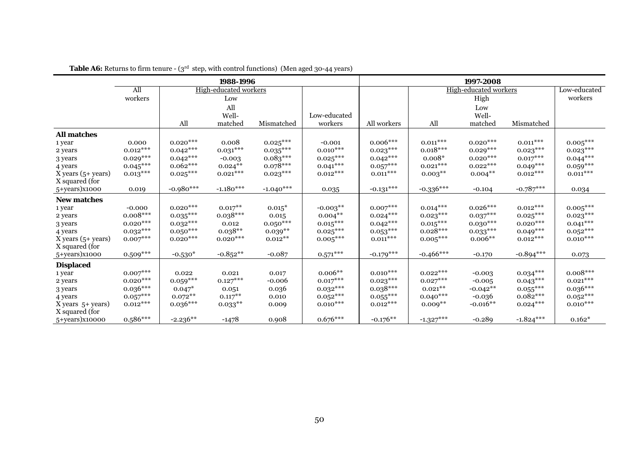|                        | 1988-1996  |             |                       |             |              |             | 1997-2008   |                              |             |               |
|------------------------|------------|-------------|-----------------------|-------------|--------------|-------------|-------------|------------------------------|-------------|---------------|
|                        | All        |             | High-educated workers |             |              |             |             | <b>High-educated workers</b> |             | Low-educated  |
|                        | workers    |             | Low                   |             |              |             |             | High                         |             | workers       |
|                        |            |             | All                   |             |              |             |             | Low                          |             |               |
|                        |            |             | Well-                 |             | Low-educated |             |             | Well-                        |             |               |
|                        |            | All         | matched               | Mismatched  | workers      | All workers | All         | matched                      | Mismatched  |               |
| <b>All matches</b>     |            |             |                       |             |              |             |             |                              |             |               |
| 1 year                 | 0.000      | $0.020***$  | 0.008                 | $0.025***$  | $-0.001$     | $0.006***$  | $0.011***$  | $0.020***$                   | $0.011***$  | $0.005***$    |
| 2 years                | $0.012***$ | $0.042***$  | $0.031^{***}$         | $0.035***$  | $0.010***$   | $0.023***$  | $0.018***$  | $0.029***$                   | $0.023***$  | $0.023***$    |
| 3 years                | $0.029***$ | $0.042***$  | $-0.003$              | $0.083***$  | $0.025***$   | $0.042***$  | $0.008*$    | $0.020***$                   | $0.017***$  | $0.044***$    |
| 4 years                | $0.045***$ | $0.062***$  | $0.024**$             | $0.078***$  | $0.041***$   | $0.057***$  | $0.021***$  | $0.022***$                   | $0.049***$  | $0.059***$    |
| $X$ years $(5+$ years) | $0.013***$ | $0.025***$  | $0.021***$            | $0.023***$  | $0.012***$   | $0.011***$  | $0.003**$   | $0.004**$                    | $0.012***$  | $0.011^{***}$ |
| X squared (for         |            |             |                       |             |              |             |             |                              |             |               |
| 5+years)x1000          | 0.019      | $-0.980***$ | $-1.180***$           | $-1.040***$ | 0.035        | $-0.131***$ | $-0.336***$ | $-0.104$                     | $-0.787***$ | 0.034         |
| <b>New matches</b>     |            |             |                       |             |              |             |             |                              |             |               |
| 1 year                 | $-0.000$   | $0.020***$  | $0.017***$            | $0.015*$    | $-0.003**$   | $0.007***$  | $0.014***$  | $0.026***$                   | $0.012***$  | $0.005***$    |
| 2 years                | $0.008***$ | $0.035***$  | $0.038***$            | 0.015       | $0.004**$    | $0.024***$  | $0.023***$  | $0.037***$                   | $0.025***$  | $0.023***$    |
| 3 years                | $0.020***$ | $0.032***$  | 0.012                 | $0.050***$  | $0.015***$   | $0.042***$  | $0.015***$  | $0.030***$                   | $0.020***$  | $0.041***$    |
| 4 years                | $0.032***$ | $0.050***$  | $0.038**$             | $0.039**$   | $0.025***$   | $0.053***$  | $0.028***$  | $0.033***$                   | $0.049***$  | $0.052***$    |
| X years $(5+$ years)   | $0.007***$ | $0.020***$  | $0.020***$            | $0.012***$  | $0.005***$   | $0.011***$  | $0.005***$  | $0.006**$                    | $0.012***$  | $0.010***$    |
| X squared (for         |            |             |                       |             |              |             |             |                              |             |               |
| 5+years)x1000          | $0.509***$ | $-0.530*$   | $-0.852**$            | $-0.087$    | $0.571***$   | $-0.179***$ | $-0.466***$ | $-0.170$                     | $-0.894***$ | 0.073         |
| <b>Displaced</b>       |            |             |                       |             |              |             |             |                              |             |               |
| 1 year                 | $0.007***$ | 0.022       | 0.021                 | 0.017       | $0.006**$    | $0.010***$  | $0.022***$  | $-0.003$                     | $0.034***$  | $0.008***$    |
| 2 years                | $0.020***$ | $0.059***$  | $0.127***$            | $-0.006$    | $0.017***$   | $0.023***$  | $0.027***$  | $-0.005$                     | $0.043***$  | $0.021***$    |
| 3 years                | $0.036***$ | $0.047*$    | 0.051                 | 0.036       | $0.032***$   | $0.038***$  | $0.021**$   | $-0.042**$                   | $0.055***$  | $0.036***$    |
| 4 years                | $0.057***$ | $0.072**$   | $0.117***$            | 0.010       | $0.052***$   | $0.055***$  | $0.040***$  | $-0.036$                     | $0.082***$  | $0.052***$    |
| $X$ years $5+$ years)  | $0.012***$ | $0.036***$  | $0.033**$             | 0.009       | $0.010***$   | $0.012***$  | $0.009**$   | $-0.016**$                   | $0.024***$  | $0.010***$    |
| X squared (for         |            |             |                       |             |              |             |             |                              |             |               |
| 5+years)x10000         | $0.586***$ | $-2.236**$  | $-1478$               | 0.908       | $0.676***$   | $-0.176**$  | $-1.327***$ | $-0.289$                     | $-1.824***$ | $0.162*$      |

**Table A6:** Returns to firm tenure - (3<sup>rd</sup> step, with control functions) (Men aged 30-44 years)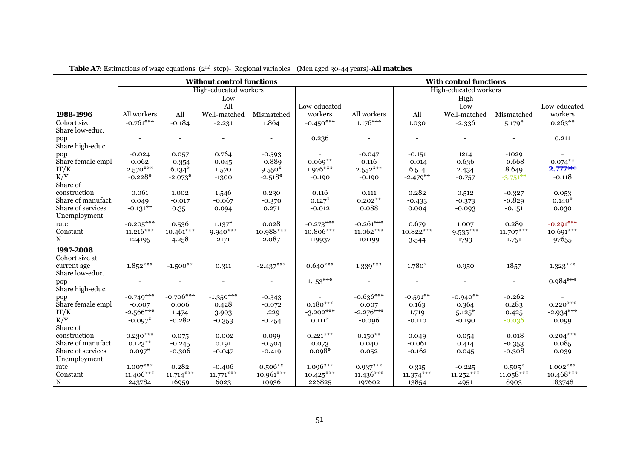|                                   | <b>Without control functions</b> |             |                              |             |               | <b>With control functions</b> |             |                       |             |              |
|-----------------------------------|----------------------------------|-------------|------------------------------|-------------|---------------|-------------------------------|-------------|-----------------------|-------------|--------------|
|                                   |                                  |             | <b>High-educated workers</b> |             |               |                               |             | High-educated workers |             |              |
|                                   |                                  |             | Low                          |             |               |                               |             | High                  |             |              |
|                                   |                                  |             | All                          |             | Low-educated  |                               |             | Low                   |             | Low-educated |
| 1988-1996                         | All workers                      | All         | Well-matched                 | Mismatched  | workers       | All workers                   | All         | Well-matched          | Mismatched  | workers      |
| Cohort size<br>Share low-educ.    | $-0.761***$                      | $-0.184$    | $-2.231$                     | 1.864       | $-0.450***$   | $1.176***$                    | 1.030       | $-2.336$              | $5.179*$    | $0.263***$   |
| pop<br>Share high-educ.           |                                  |             |                              |             | 0.236         |                               |             |                       |             | 0.211        |
| pop                               | $-0.024$                         | 0.057       | 0.764                        | $-0.593$    | $\sim$        | $-0.047$                      | $-0.151$    | 1214                  | $-1029$     |              |
| Share female empl                 | 0.062                            | $-0.354$    | 0.045                        | $-0.889$    | $0.069**$     | 0.116                         | $-0.014$    | 0.636                 | $-0.668$    | $0.074***$   |
| IT/K                              | $2.570***$                       | $6.134*$    | 1.570                        | $9.550*$    | $1.976***$    | $2.552^{\ast\ast\ast}$        | 6.514       | 2.434                 | 8.649       | $2.777***$   |
| K/Y<br>Share of                   | $-0.228*$                        | $-2.073*$   | $-1300$                      | $-2.518*$   | $-0.190$      | $-0.190$                      | $-2.479**$  | $-0.757$              | $-3.751***$ | $-0.118$     |
| construction                      | 0.061                            | 1.002       | 1.546                        | 0.230       | 0.116         | 0.111                         | 0.282       | 0.512                 | $-0.327$    | 0.053        |
| Share of manufact.                | 0.049                            | $-0.017$    | $-0.067$                     | $-0.370$    | $0.127*$      | $0.202**$                     | $-0.433$    | $-0.373$              | $-0.829$    | $0.140*$     |
| Share of services<br>Unemployment | $-0.131**$                       | 0.351       | 0.094                        | 0.271       | $-0.012$      | 0.088                         | 0.004       | $-0.093$              | $-0.151$    | 0.030        |
| rate                              | $-0.205***$                      | 0.536       | $1.137*$                     | 0.028       | $-0.273***$   | $-0.261***$                   | 0.679       | 1.007                 | 0.289       | $-0.291***$  |
| Constant                          | $11.216***$                      | $10.461***$ | 9.940***                     | 10.988***   | 10.806***     | $11.062***$                   | 10.822***   | $9.535***$            | $11.707***$ | $10.691***$  |
| N                                 | 124195                           | 4.258       | 2171                         | 2.087       | 119937        | 101199                        | 3.544       | 1793                  | 1.751       | 97655        |
| 1997-2008<br>Cohort size at       |                                  |             |                              |             |               |                               |             |                       |             |              |
| current age<br>Share low-educ.    | $1.852***$                       | $-1.500**$  | 0.311                        | $-2.437***$ | $0.640***$    | $1.339***$                    | $1.780*$    | 0.950                 | 1857        | $1.323***$   |
| pop<br>Share high-educ.           | $\overline{\phantom{a}}$         |             |                              |             | $1.153^{***}$ |                               |             |                       |             | $0.984***$   |
| pop                               | $-0.749***$                      | $-0.706***$ | $-1.350***$                  | $-0.343$    |               | $-0.636***$                   | $-0.591**$  | $-0.940**$            | $-0.262$    |              |
| Share female empl                 | $-0.007$                         | 0.006       | 0.428                        | $-0.072$    | $0.180***$    | 0.007                         | 0.163       | 0.364                 | 0.283       | $0.220***$   |
| IT/K                              | $-2.566***$                      | 1.474       | 3.903                        | 1.229       | $-3.202***$   | $-2.276***$                   | 1.719       | $5.125*$              | 0.425       | $-2.934***$  |
| K/Y<br>Share of                   | $-0.097*$                        | $-0.282$    | $-0.353$                     | $-0.254$    | $0.111*$      | $-0.096$                      | $-0.110$    | $-0.190$              | $-0.036$    | 0.099        |
| construction                      | $0.230***$                       | 0.075       | $-0.002$                     | 0.099       | $0.221***$    | $0.150**$                     | 0.049       | 0.054                 | $-0.018$    | $0.204***$   |
| Share of manufact.                | $0.123***$                       | $-0.245$    | 0.191                        | $-0.504$    | 0.073         | 0.040                         | $-0.061$    | 0.414                 | $-0.353$    | 0.085        |
| Share of services<br>Unemployment | $0.097*$                         | $-0.306$    | $-0.047$                     | $-0.419$    | $0.098*$      | 0.052                         | $-0.162$    | 0.045                 | $-0.308$    | 0.039        |
| rate                              | $1.007***$                       | 0.282       | $-0.406$                     | $0.506**$   | $1.096***$    | $0.937***$                    | 0.315       | $-0.225$              | $0.505*$    | $1.002***$   |
| Constant                          | $11.406***$                      | $11.714***$ | $11.771***$                  | 10.961***   | $10.425***$   | $11.436***$                   | $11.374***$ | $11.252***$           | $11.058***$ | 10.468***    |
| ${\bf N}$                         | 243784                           | 16959       | 6023                         | 10936       | 226825        | 197602                        | 13854       | 4951                  | 8903        | 183748       |

 **Table A7:** Estimations of wage equations (2nd step)- Regional variables (Men aged 30-44 years)-**All matches**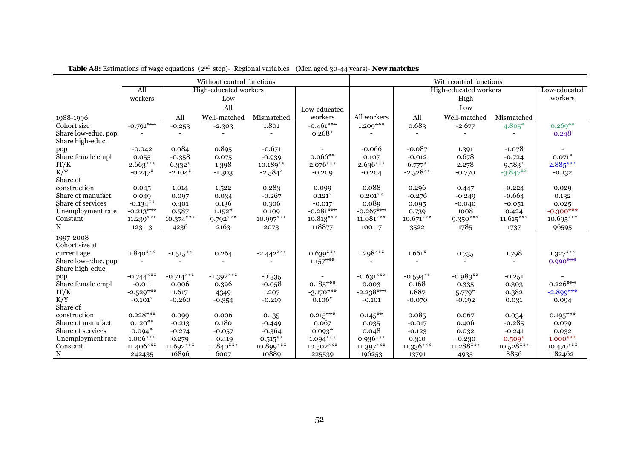|                                         |             |             | Without control functions |             |              |             |                  | With control functions |             |                        |
|-----------------------------------------|-------------|-------------|---------------------------|-------------|--------------|-------------|------------------|------------------------|-------------|------------------------|
|                                         | All         |             | High-educated workers     |             |              |             |                  | High-educated workers  |             | Low-educated           |
|                                         | workers     |             | Low                       |             |              |             |                  | High                   |             | workers                |
|                                         |             |             | All                       |             | Low-educated |             |                  | Low                    |             |                        |
| 1988-1996                               |             | All         | Well-matched              | Mismatched  | workers      | All workers | All              | Well-matched           | Mismatched  |                        |
| Cohort size                             | $-0.791***$ | $-0.253$    | $-2.303$                  | 1.801       | $-0.461***$  | $1.209***$  | 0.683            | $-2.677$               | $4.805*$    | $0.269**$              |
| Share low-educ. pop<br>Share high-educ. |             |             | $\blacksquare$            |             | $0.268*$     |             |                  |                        |             | 0.248                  |
| pop                                     | $-0.042$    | 0.084       | 0.895                     | $-0.671$    |              | $-0.066$    | $-0.087$         | 1.391                  | $-1.078$    |                        |
| Share female empl                       | 0.055       | $-0.358$    | 0.075                     | $-0.939$    | $0.066**$    | 0.107       | $-0.012$         | 0.678                  | $-0.724$    | $0.071*$               |
| IT/K                                    | $2.663***$  | $6.332*$    | 1.398                     | $10.189**$  | $2.076***$   | $2.636***$  | $6.777*$         | 2.278                  | $9.583*$    | $2.885***$             |
| K/Y                                     | $-0.247*$   | $-2.104*$   | $-1.303$                  | $-2.584*$   | $-0.209$     | $-0.204$    | $-2.528**$       | $-0.770$               | $-3.847**$  | $-0.132$               |
| Share of                                |             |             |                           |             |              |             |                  |                        |             |                        |
| construction                            | 0.045       | 1.014       | 1.522                     | 0.283       | 0.099        | 0.088       | 0.296            | 0.447                  | $-0.224$    | 0.029                  |
| Share of manufact.                      | 0.049       | 0.097       | 0.034                     | $-0.267$    | $0.121*$     | $0.201**$   | $-0.276$         | $-0.249$               | $-0.664$    | 0.132                  |
| Share of services                       | $-0.134***$ | 0.401       | 0.136                     | 0.306       | $-0.017$     | 0.089       | 0.095            | $-0.040$               | $-0.051$    | 0.025                  |
| Unemployment rate                       | $-0.213***$ | 0.587       | $1.152*$                  | 0.109       | $-0.281***$  | $-0.267***$ | 0.739            | 1008                   | 0.424       | $-0.300***$            |
| Constant                                | $11.239***$ | $10.374***$ | $9.792***$                | 10.997***   | $10.813***$  | $11.081***$ | $10.671***$      | $9.350***$             | $11.615***$ | 10.695***              |
| N                                       | 123113      | 4236        | 2163                      | 2073        | 118877       | 100117      | 3522             | 1785                   | 1737        | 96595                  |
| 1997-2008                               |             |             |                           |             |              |             |                  |                        |             |                        |
| Cohort size at                          |             |             |                           |             |              |             |                  |                        |             |                        |
| current age                             | $1.840***$  | $-1.515***$ | 0.264                     | $-2.442***$ | $0.639***$   | $1.298***$  | $1.661*$         | 0.735                  | 1.798       | $1.327^{\ast\ast\ast}$ |
| Share low-educ. pop                     |             |             |                           |             | $1.157***$   |             |                  |                        |             | $0.990***$             |
| Share high-educ.                        |             |             |                           |             |              |             |                  |                        |             |                        |
| pop                                     | $-0.744***$ | $-0.714***$ | $-1.392***$               | $-0.335$    |              | $-0.631***$ | $-0.594**$       | $-0.983**$             | $-0.251$    |                        |
| Share female empl                       | $-0.011$    | 0.006       | 0.396                     | $-0.058$    | $0.185***$   | 0.003       | 0.168            | 0.335                  | 0.303       | $0.226***$             |
| IT/K                                    | $-2.529***$ | 1.617       | 4349                      | 1.207       | $-3.170***$  | $-2.238***$ | 1.887            | $5.779*$               | 0.382       | $-2.899***$            |
| K/Y                                     | $-0.101*$   | $-0.260$    | $-0.354$                  | $-0.219$    | $0.106*$     | $-0.101$    | $-0.070$         | $-0.192$               | 0.031       | 0.094                  |
| Share of                                |             |             |                           |             |              |             |                  |                        |             |                        |
| construction                            | $0.228***$  | 0.099       | 0.006                     | 0.135       | $0.215***$   | $0.145***$  | 0.085            | 0.067                  | 0.034       | $0.195***$             |
| Share of manufact.                      | $0.120**$   | $-0.213$    | 0.180                     | $-0.449$    | 0.067        | 0.035       | $-0.017$         | 0.406                  | $-0.285$    | 0.079                  |
| Share of services                       | $0.094*$    | $-0.274$    | $-0.057$                  | $-0.364$    | $0.093*$     | 0.048       | $-0.123$         | 0.032                  | $-0.241$    | 0.032                  |
| Unemployment rate                       | $1.006***$  | 0.279       | $-0.419$                  | $0.515***$  | $1.094***$   | $0.936***$  | 0.310            | $-0.230$               | $0.509*$    | $1.000***$             |
| Constant                                | 11.406***   | 11.692***   | 11.840***                 | 10.899***   | $10.502***$  | $11.397***$ | $11.336^{***}\;$ | 11.288***              | $10.528***$ | $10.470***$            |
| N                                       | 242435      | 16896       | 6007                      | 10889       | 225539       | 196253      | 13791            | 4935                   | 8856        | 182462                 |

 **Table A8:** Estimations of wage equations (2<sup>nd</sup> step)- Regional variables (Men aged 30-44 years)- **New matches**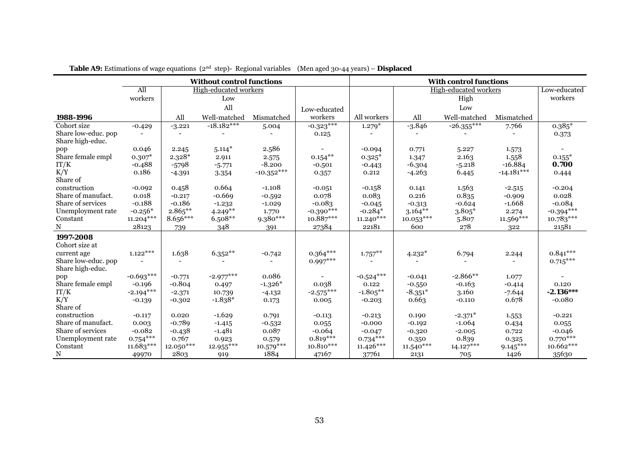| <b>Without control functions</b>        |             |            |                       |              |              |             |             | <b>With control functions</b> |              |              |
|-----------------------------------------|-------------|------------|-----------------------|--------------|--------------|-------------|-------------|-------------------------------|--------------|--------------|
|                                         | All         |            | High-educated workers |              |              |             |             | High-educated workers         |              | Low-educated |
|                                         | workers     |            | Low                   |              |              |             |             | High                          |              | workers      |
|                                         |             |            | All                   |              | Low-educated |             |             | Low                           |              |              |
| 1988-1996                               |             | All        | Well-matched          | Mismatched   | workers      | All workers | All         | Well-matched                  | Mismatched   |              |
| Cohort size                             | $-0.429$    | $-3.221$   | $-18.182***$          | 5.004        | $-0.323***$  | $1.279*$    | $-3.846$    | $-26.355***$                  | 7.766        | $0.385*$     |
| Share low-educ. pop<br>Share high-educ. |             |            |                       |              | 0.125        |             |             |                               |              | 0.373        |
| pop                                     | 0.046       | 2.245      | $5.114*$              | 2.586        |              | $-0.094$    | 0.771       | 5.227                         | 1.573        |              |
| Share female empl                       | $0.307*$    | $2.328*$   | 2.911                 | 2.575        | $0.154***$   | $0.325*$    | 1.347       | 2.163                         | 1.558        | $0.155*$     |
| IT/K                                    | $-0.488$    | $-5798$    | $-5.771$              | $-8.200$     | $-0.501$     | $-0.443$    | $-6.304$    | $-5.218$                      | $-16.884$    | 0.700        |
| K/Y<br>Share of                         | 0.186       | $-4.391$   | 3.354                 | $-10.352***$ | 0.357        | 0.212       | $-4.263$    | 6.445                         | $-14.181***$ | 0.444        |
| construction                            | $-0.092$    | 0.458      | 0.664                 | $-1.108$     | $-0.051$     | $-0.158$    | 0.141       | 1.563                         | $-2.515$     | $-0.204$     |
| Share of manufact.                      | 0.018       | $-0.217$   | $-0.669$              | $-0.592$     | 0.078        | 0.083       | 0.216       | 0.835                         | $-0.909$     | 0.028        |
| Share of services                       | $-0.188$    | $-0.186$   | $-1.232$              | $-1.029$     | $-0.083$     | $-0.045$    | $-0.313$    | $-0.624$                      | $-1.668$     | $-0.084$     |
| Unemployment rate                       | $-0.256*$   | $2.865***$ | $4.249**$             | 1.770        | $-0.390***$  | $-0.284*$   | $3.164***$  | $3.805*$                      | 2.274        | $-0.394***$  |
| Constant                                | $11.204***$ | $8.656***$ | $6.508**$             | 9.380***     | 10.887***    | $11.240***$ | $10.053***$ | 5.807                         | 11.569***    | $10.783***$  |
| N                                       | 28123       | 739        | 348                   | 391          | 27384        | 22181       | 600         | 278                           | 322          | 21581        |
| 1997-2008                               |             |            |                       |              |              |             |             |                               |              |              |
| Cohort size at                          |             |            |                       |              |              |             |             |                               |              |              |
| current age                             | $1.122***$  | 1.638      | $6.352**$             | $-0.742$     | $0.364***$   | $1.757***$  | $4.232*$    | 6.794                         | 2.244        | $0.841***$   |
| Share low-educ. pop                     |             |            |                       |              | $0.997***$   |             |             |                               |              | $0.715***$   |
| Share high-educ.                        |             |            |                       |              |              |             |             |                               |              |              |
| pop                                     | $-0.693***$ | $-0.771$   | $-2.977***$           | 0.086        |              | $-0.524***$ | $-0.041$    | $-2.866**$                    | 1.077        |              |
| Share female empl                       | $-0.196$    | $-0.804$   | 0.497                 | $-1.326*$    | 0.038        | 0.122       | $-0.550$    | $-0.163$                      | $-0.414$     | 0.120        |
| IT/K                                    | $-2.194***$ | $-2.371$   | 10.739                | $-4.132$     | $-2.575***$  | $-1.805***$ | $-8.351*$   | 3.160                         | $-7.644$     | $-2.136***$  |
| K/Y                                     | $-0.139$    | $-0.302$   | $-1.838*$             | 0.173        | 0.005        | $-0.203$    | 0.663       | $-0.110$                      | 0.678        | $-0.080$     |
| Share of                                |             |            |                       |              |              |             |             |                               |              |              |
| construction                            | $-0.117$    | 0.020      | $-1.629$              | 0.791        | $-0.113$     | $-0.213$    | 0.190       | $-2.371*$                     | 1.553        | $-0.221$     |
| Share of manufact.                      | 0.003       | $-0.789$   | $-1.415$              | $-0.532$     | 0.055        | $-0.000$    | $-0.192$    | $-1.064$                      | 0.434        | 0.055        |
| Share of services                       | $-0.082$    | $-0.438$   | $-1.481$              | 0.087        | $-0.064$     | $-0.047$    | $-0.320$    | $-2.005$                      | 0.722        | $-0.046$     |
| Unemployment rate                       | $0.754***$  | 0.767      | 0.923                 | 0.579        | $0.819***$   | $0.734***$  | 0.350       | 0.839                         | 0.325        | $0.770***$   |
| Constant                                | 11.683***   | 12.050***  | 12.955***             | $10.579***$  | 10.810***    | $11.426***$ | $11.540***$ | $14.127***$                   | $9.145***$   | 10.662***    |
| N                                       | 49970       | 2803       | 919                   | 1884         | 47167        | 37761       | 2131        | 705                           | 1426         | 35630        |

 **Table A9:** Estimations of wage equations (2<sup>nd</sup> step)- Regional variables (Men aged 30-44 years) – **Displaced**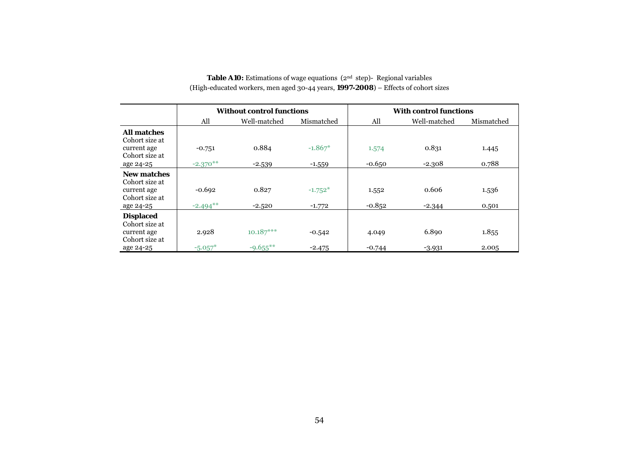### **Table A10:** Estimations of wage equations (2<sup>nd</sup> step)- Regional variables (High-educated workers, men aged 30-44 years, **1997-2008**) – Effects of cohort sizes

|                                      |             | <b>Without control functions</b> |            | <b>With control functions</b> |              |            |  |
|--------------------------------------|-------------|----------------------------------|------------|-------------------------------|--------------|------------|--|
|                                      | All         | Well-matched                     | Mismatched | All                           | Well-matched | Mismatched |  |
| <b>All matches</b><br>Cohort size at |             |                                  |            |                               |              |            |  |
| current age<br>Cohort size at        | $-0.751$    | 0.884                            | $-1.867*$  | 1.574                         | 0.831        | 1.445      |  |
| age 24-25                            | $-2.370**$  | $-2.539$                         | $-1.559$   | $-0.650$                      | $-2.308$     | 0.788      |  |
| <b>New matches</b><br>Cohort size at |             |                                  |            |                               |              |            |  |
| current age<br>Cohort size at        | $-0.692$    | 0.827                            | $-1.752*$  | 1.552                         | 0.606        | 1.536      |  |
| age 24-25                            | $-2.494***$ | $-2.520$                         | $-1.772$   | $-0.852$                      | $-2.344$     | 0.501      |  |
| <b>Displaced</b><br>Cohort size at   |             |                                  |            |                               |              |            |  |
| current age<br>Cohort size at        | 2.928       | $10.187***$                      | $-0.542$   | 4.049                         | 6.890        | 1.855      |  |
| age 24-25                            | $-5.057*$   | $-9.655***$                      | $-2.475$   | $-0.744$                      | $-3.931$     | 2.005      |  |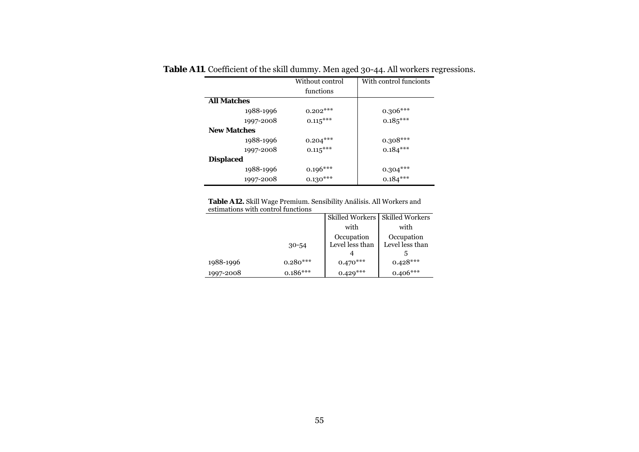|                    | Without control        | With control funcionts |
|--------------------|------------------------|------------------------|
|                    | functions              |                        |
| <b>All Matches</b> |                        |                        |
| 1988-1996          | $0.202***$             | $0.306***$             |
| 1997-2008          | $0.115***$             | $0.185***$             |
| <b>New Matches</b> |                        |                        |
| 1988-1996          | $0.204***$             | $0.308***$             |
| 1997-2008          | $0.115***$             | $0.184***$             |
| <b>Displaced</b>   |                        |                        |
| 1988-1996          | $0.196***$             | $0.304***$             |
| 1997-2008          | $0.130^{\ast\ast\ast}$ | $0.184***$             |

**Table A11**. Coefficient of the skill dummy. Men aged 30-44. All workers regressions.

**Table A12.** Skill Wage Premium. Sensibility Análisis. All Workers and estimations with control functions

|           |            |                 | Skilled Workers   Skilled Workers |
|-----------|------------|-----------------|-----------------------------------|
|           |            | with            | with                              |
|           |            | Occupation      | Occupation                        |
|           | $30 - 54$  | Level less than | Level less than                   |
|           |            |                 |                                   |
| 1988-1996 | $0.280***$ | $0.470***$      | $0.428***$                        |
| 1997-2008 | $0.186***$ | $0.429***$      | $0.406***$                        |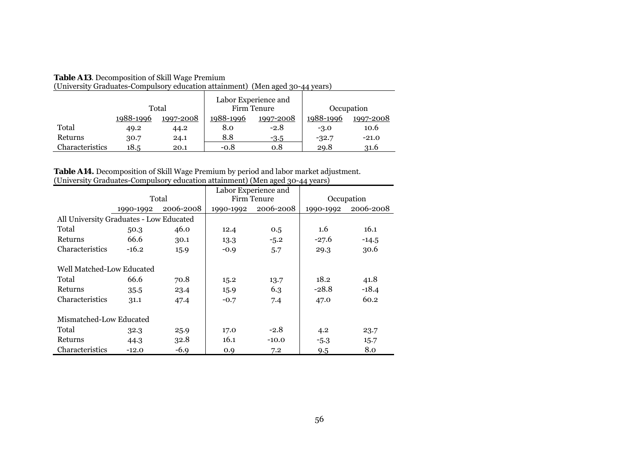| TOIIIversity Ordudates-Compaisory culturing attainment) (Inten agea) 19-44 years) |           |           |                                     |           |            |           |
|-----------------------------------------------------------------------------------|-----------|-----------|-------------------------------------|-----------|------------|-----------|
|                                                                                   | Total     |           | Labor Experience and<br>Firm Tenure |           | Occupation |           |
|                                                                                   | 1988-1996 | 1997-2008 | 1988-1996                           | 1997-2008 | 1988-1996  | 1997-2008 |
| Total                                                                             | 49.2      | 44.2      | 8.0                                 | $-2.8$    | $-3.0$     | 10.6      |
| Returns                                                                           | 30.7      | 24.1      | 8.8                                 | $-3.5$    | $-32.7$    | $-21.0$   |
| Characteristics                                                                   | 18.5      | 20.1      | $-0.8$                              | 0.8       | 29.8       | 31.6      |

#### **Table A13**. Decomposition of Skill Wage Premium

(University Graduates-Compulsory education attainment) (Men aged 30-44 years)

**Table A14.** Decomposition of Skill Wage Premium by period and labor market adjustment. (University Graduates-Compulsory education attainment) (Men aged 30-44 years)

|                                         |           |           |           | Labor Experience and |           |            |
|-----------------------------------------|-----------|-----------|-----------|----------------------|-----------|------------|
|                                         |           | Total     |           | Firm Tenure          |           | Occupation |
|                                         | 1990-1992 | 2006-2008 | 1990-1992 | 2006-2008            | 1990-1992 | 2006-2008  |
| All University Graduates - Low Educated |           |           |           |                      |           |            |
| Total                                   | 50.3      | 46.0      | 12.4      | 0.5                  | 1.6       | 16.1       |
| Returns                                 | 66.6      | 30.1      | 13.3      | $-5.2$               | $-27.6$   | $-14.5$    |
| Characteristics                         | $-16.2$   | 15.9      | $-0.9$    | 5.7                  | 29.3      | 30.6       |
| Well Matched-Low Educated               |           |           |           |                      |           |            |
| Total                                   | 66.6      | 70.8      | 15.2      | 13.7                 | 18.2      | 41.8       |
| Returns                                 | 35.5      | 23.4      | 15.9      | 6.3                  | $-28.8$   | $-18.4$    |
| Characteristics                         | 31.1      | 47.4      | $-0.7$    | 7.4                  | 47.0      | 60.2       |
| Mismatched-Low Educated                 |           |           |           |                      |           |            |
| Total                                   | 32.3      | 25.9      | 17.0      | $-2.8$               | 4.2       | 23.7       |
| Returns                                 | 44.3      | 32.8      | 16.1      | $-10.0$              | $-5.3$    | 15.7       |
| Characteristics                         | $-12.0$   | $-6.9$    | 0.9       | 7.2                  | 9.5       | 8.0        |